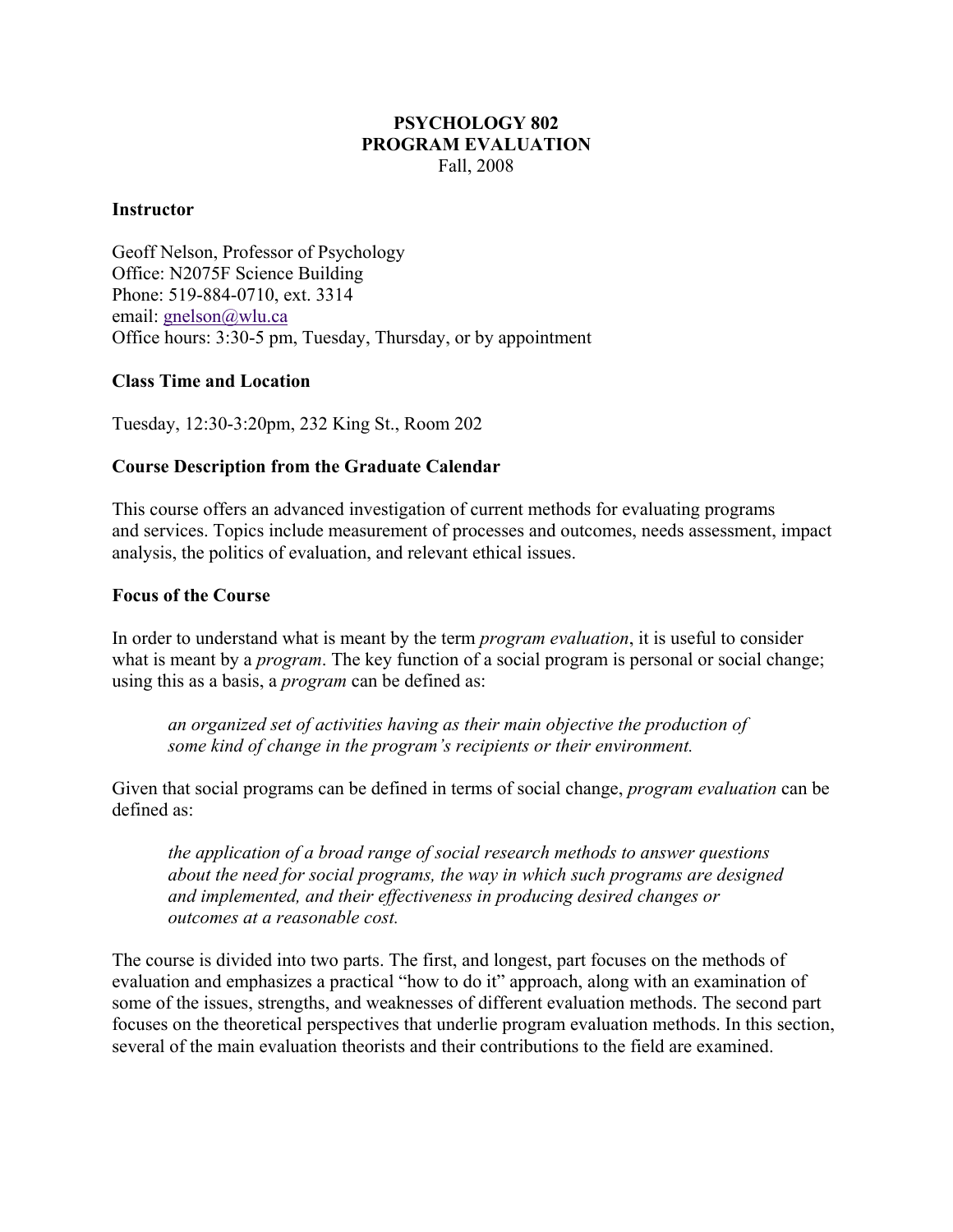# **PSYCHOLOGY 802 PROGRAM EVALUATION**  Fall, 2008

# **Instructor**

Geoff Nelson, Professor of Psychology Office: N2075F Science Building Phone: 519-884-0710, ext. 3314 email: gnelson@wlu.ca Office hours: 3:30-5 pm, Tuesday, Thursday, or by appointment

# **Class Time and Location**

Tuesday, 12:30-3:20pm, 232 King St., Room 202

# **Course Description from the Graduate Calendar**

This course offers an advanced investigation of current methods for evaluating programs and services. Topics include measurement of processes and outcomes, needs assessment, impact analysis, the politics of evaluation, and relevant ethical issues.

# **Focus of the Course**

In order to understand what is meant by the term *program evaluation*, it is useful to consider what is meant by a *program*. The key function of a social program is personal or social change; using this as a basis, a *program* can be defined as:

*an organized set of activities having as their main objective the production of some kind of change in the program's recipients or their environment.* 

Given that social programs can be defined in terms of social change, *program evaluation* can be defined as:

*the application of a broad range of social research methods to answer questions about the need for social programs, the way in which such programs are designed and implemented, and their effectiveness in producing desired changes or outcomes at a reasonable cost.* 

The course is divided into two parts. The first, and longest, part focuses on the methods of evaluation and emphasizes a practical "how to do it" approach, along with an examination of some of the issues, strengths, and weaknesses of different evaluation methods. The second part focuses on the theoretical perspectives that underlie program evaluation methods. In this section, several of the main evaluation theorists and their contributions to the field are examined.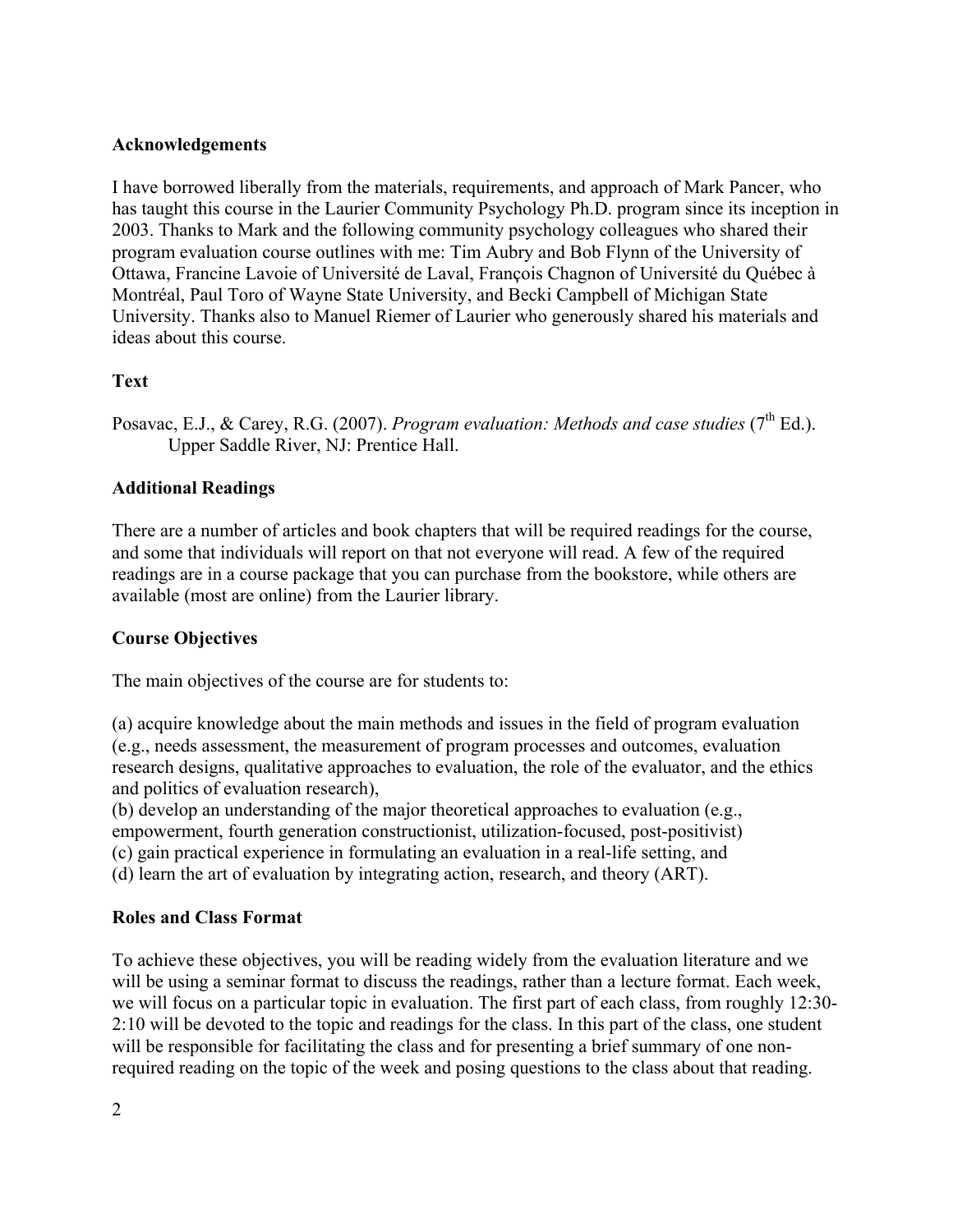# **Acknowledgements**

I have borrowed liberally from the materials, requirements, and approach of Mark Pancer, who has taught this course in the Laurier Community Psychology Ph.D. program since its inception in 2003. Thanks to Mark and the following community psychology colleagues who shared their program evaluation course outlines with me: Tim Aubry and Bob Flynn of the University of Ottawa, Francine Lavoie of Université de Laval, François Chagnon of Université du Québec à Montréal, Paul Toro of Wayne State University, and Becki Campbell of Michigan State University. Thanks also to Manuel Riemer of Laurier who generously shared his materials and ideas about this course.

# **Text**

Posavac, E.J., & Carey, R.G. (2007). *Program evaluation: Methods and case studies* (7<sup>th</sup> Ed.). Upper Saddle River, NJ: Prentice Hall.

# **Additional Readings**

There are a number of articles and book chapters that will be required readings for the course, and some that individuals will report on that not everyone will read. A few of the required readings are in a course package that you can purchase from the bookstore, while others are available (most are online) from the Laurier library.

# **Course Objectives**

The main objectives of the course are for students to:

(a) acquire knowledge about the main methods and issues in the field of program evaluation (e.g., needs assessment, the measurement of program processes and outcomes, evaluation research designs, qualitative approaches to evaluation, the role of the evaluator, and the ethics and politics of evaluation research),

(b) develop an understanding of the major theoretical approaches to evaluation (e.g., empowerment, fourth generation constructionist, utilization-focused, post-positivist) (c) gain practical experience in formulating an evaluation in a real-life setting, and (d) learn the art of evaluation by integrating action, research, and theory (ART).

# **Roles and Class Format**

To achieve these objectives, you will be reading widely from the evaluation literature and we will be using a seminar format to discuss the readings, rather than a lecture format. Each week, we will focus on a particular topic in evaluation. The first part of each class, from roughly 12:30- 2:10 will be devoted to the topic and readings for the class. In this part of the class, one student will be responsible for facilitating the class and for presenting a brief summary of one nonrequired reading on the topic of the week and posing questions to the class about that reading.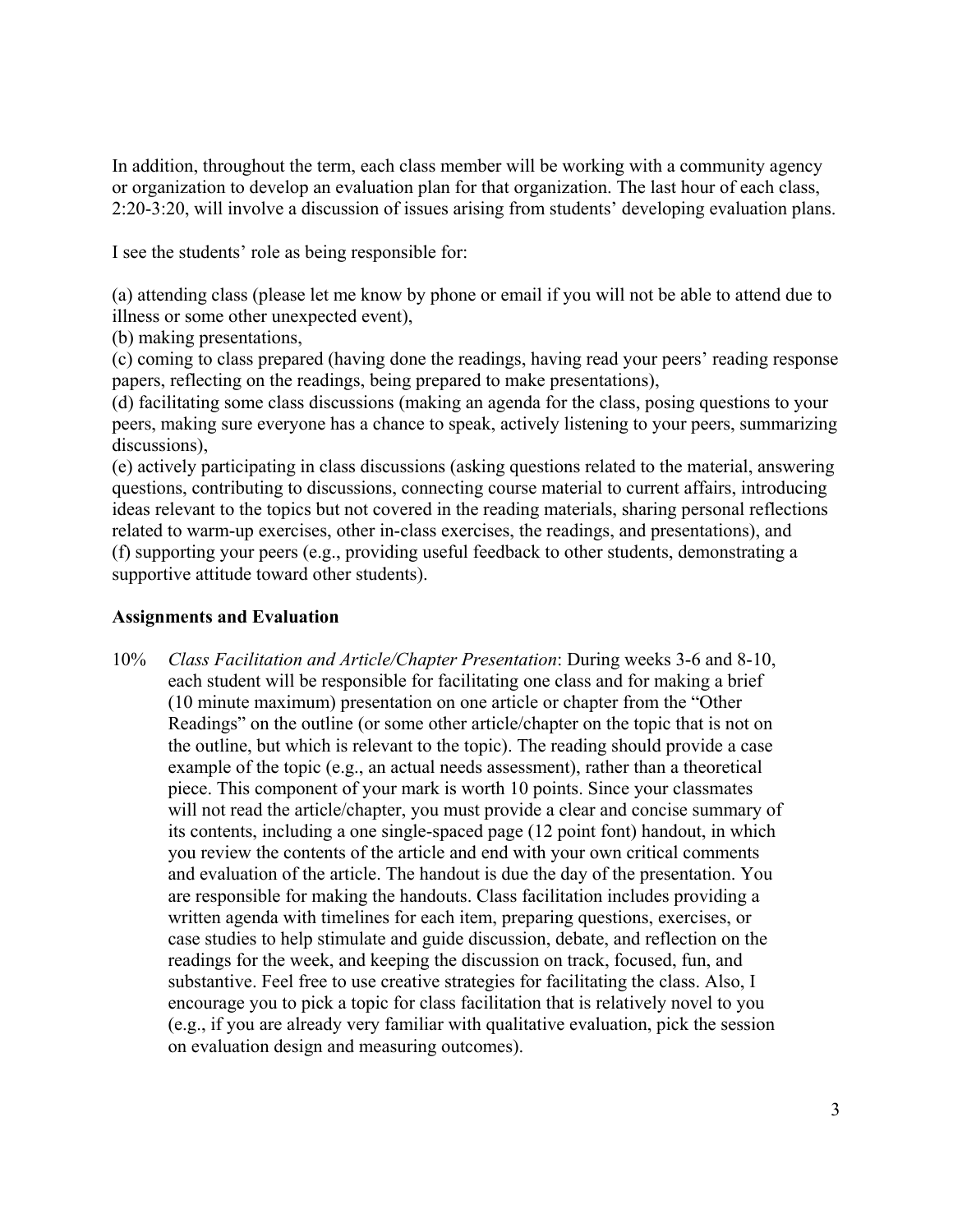In addition, throughout the term, each class member will be working with a community agency or organization to develop an evaluation plan for that organization. The last hour of each class, 2:20-3:20, will involve a discussion of issues arising from students' developing evaluation plans.

I see the students' role as being responsible for:

(a) attending class (please let me know by phone or email if you will not be able to attend due to illness or some other unexpected event),

(b) making presentations,

(c) coming to class prepared (having done the readings, having read your peers' reading response papers, reflecting on the readings, being prepared to make presentations),

(d) facilitating some class discussions (making an agenda for the class, posing questions to your peers, making sure everyone has a chance to speak, actively listening to your peers, summarizing discussions),

(e) actively participating in class discussions (asking questions related to the material, answering questions, contributing to discussions, connecting course material to current affairs, introducing ideas relevant to the topics but not covered in the reading materials, sharing personal reflections related to warm-up exercises, other in-class exercises, the readings, and presentations), and (f) supporting your peers (e.g., providing useful feedback to other students, demonstrating a supportive attitude toward other students).

# **Assignments and Evaluation**

10% *Class Facilitation and Article/Chapter Presentation*: During weeks 3-6 and 8-10, each student will be responsible for facilitating one class and for making a brief (10 minute maximum) presentation on one article or chapter from the "Other Readings" on the outline (or some other article/chapter on the topic that is not on the outline, but which is relevant to the topic). The reading should provide a case example of the topic (e.g., an actual needs assessment), rather than a theoretical piece. This component of your mark is worth 10 points. Since your classmates will not read the article/chapter, you must provide a clear and concise summary of its contents, including a one single-spaced page (12 point font) handout, in which you review the contents of the article and end with your own critical comments and evaluation of the article. The handout is due the day of the presentation. You are responsible for making the handouts. Class facilitation includes providing a written agenda with timelines for each item, preparing questions, exercises, or case studies to help stimulate and guide discussion, debate, and reflection on the readings for the week, and keeping the discussion on track, focused, fun, and substantive. Feel free to use creative strategies for facilitating the class. Also, I encourage you to pick a topic for class facilitation that is relatively novel to you (e.g., if you are already very familiar with qualitative evaluation, pick the session on evaluation design and measuring outcomes).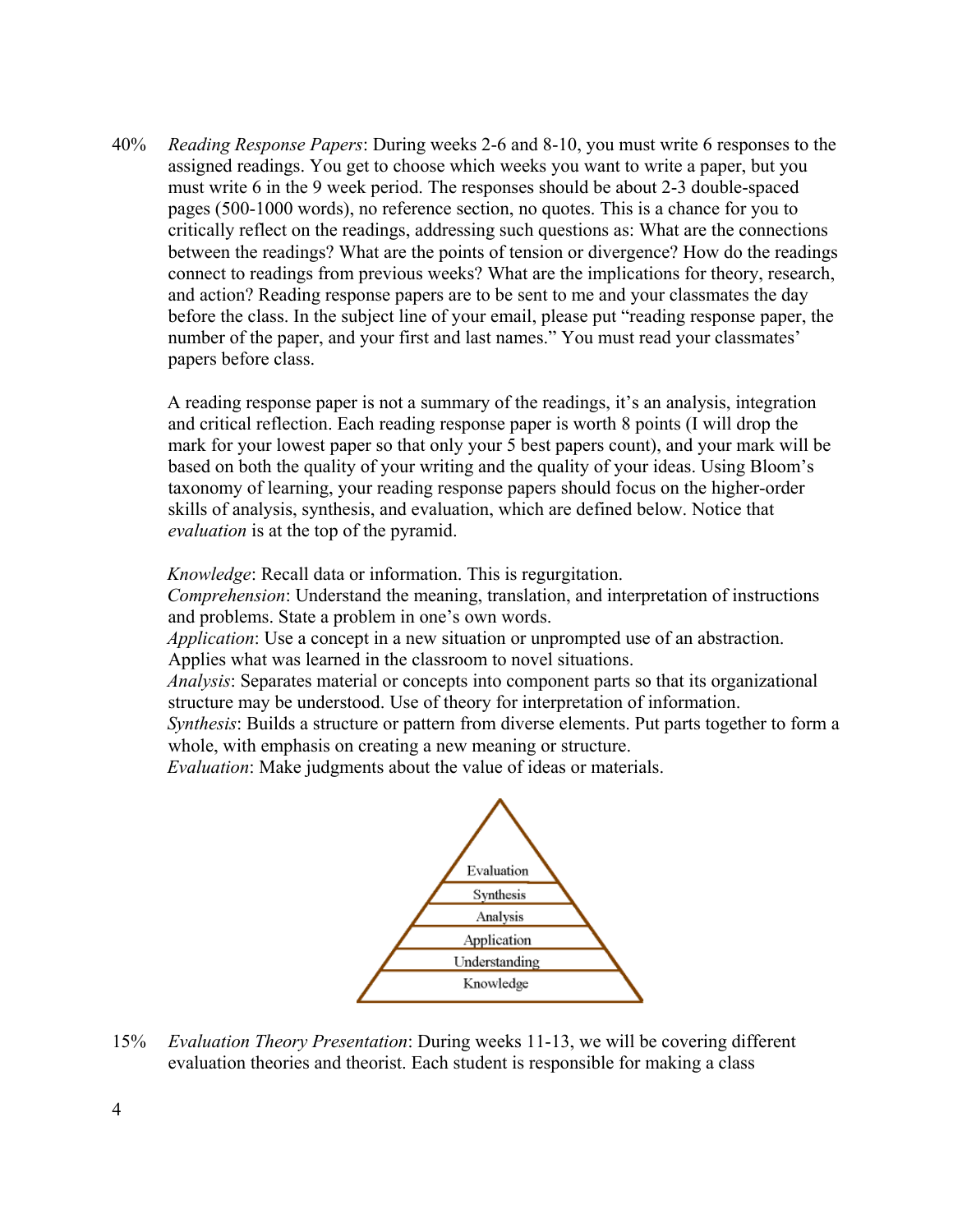40% *Reading Response Papers*: During weeks 2-6 and 8-10, you must write 6 responses to the assigned readings. You get to choose which weeks you want to write a paper, but you must write 6 in the 9 week period. The responses should be about 2-3 double-spaced pages (500-1000 words), no reference section, no quotes. This is a chance for you to critically reflect on the readings, addressing such questions as: What are the connections between the readings? What are the points of tension or divergence? How do the readings connect to readings from previous weeks? What are the implications for theory, research, and action? Reading response papers are to be sent to me and your classmates the day before the class. In the subject line of your email, please put "reading response paper, the number of the paper, and your first and last names." You must read your classmates' papers before class.

A reading response paper is not a summary of the readings, it's an analysis, integration and critical reflection. Each reading response paper is worth 8 points (I will drop the mark for your lowest paper so that only your 5 best papers count), and your mark will be based on both the quality of your writing and the quality of your ideas. Using Bloom's taxonomy of learning, your reading response papers should focus on the higher-order skills of analysis, synthesis, and evaluation, which are defined below. Notice that *evaluation* is at the top of the pyramid.

*Knowledge*: Recall data or information. This is regurgitation.

*Comprehension*: Understand the meaning, translation, and interpretation of instructions and problems. State a problem in one's own words.

*Application*: Use a concept in a new situation or unprompted use of an abstraction. Applies what was learned in the classroom to novel situations.

*Analysis*: Separates material or concepts into component parts so that its organizational structure may be understood. Use of theory for interpretation of information.

*Synthesis*: Builds a structure or pattern from diverse elements. Put parts together to form a whole, with emphasis on creating a new meaning or structure.

*Evaluation*: Make judgments about the value of ideas or materials.



15% *Evaluation Theory Presentation*: During weeks 11-13, we will be covering different evaluation theories and theorist. Each student is responsible for making a class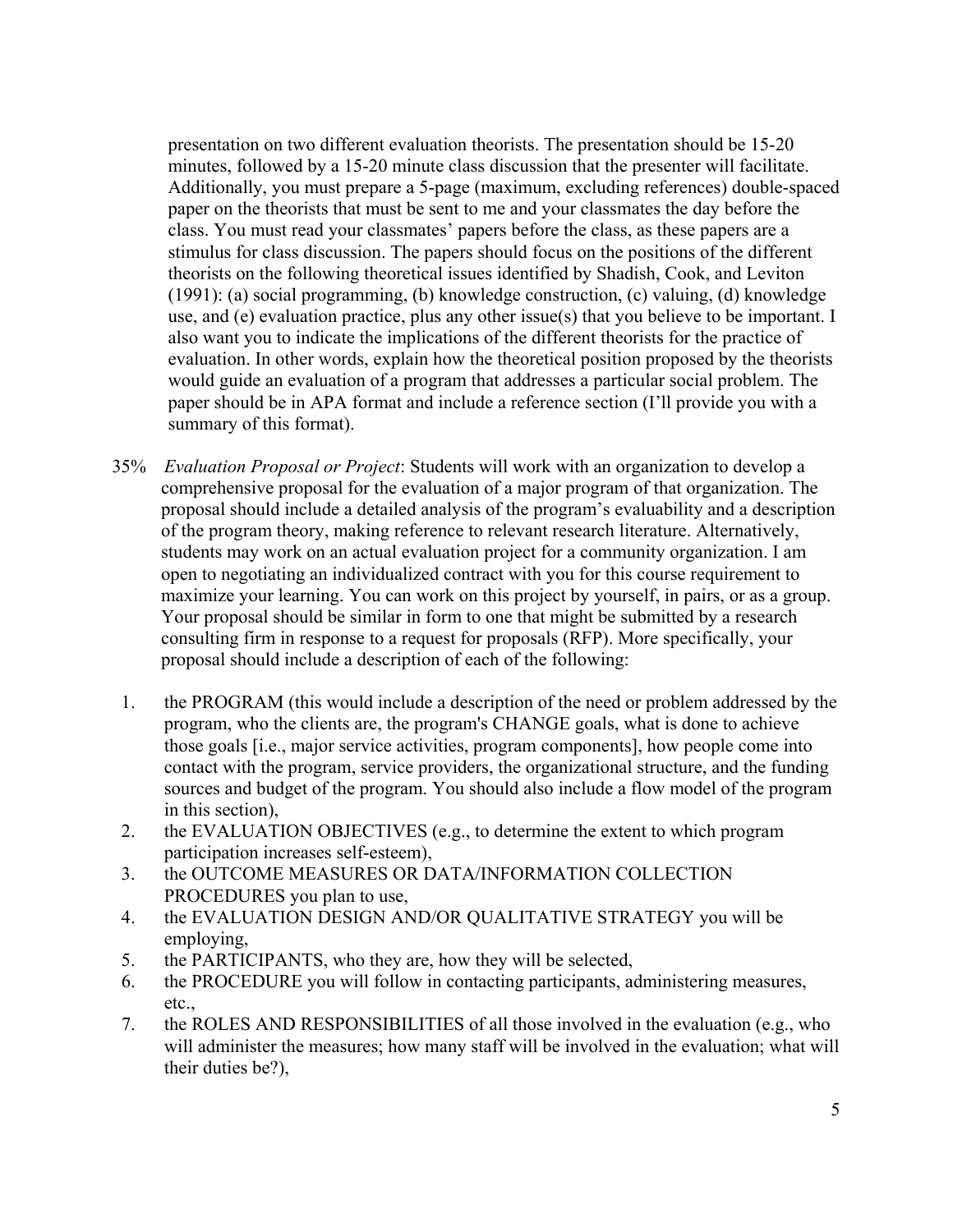presentation on two different evaluation theorists. The presentation should be 15-20 minutes, followed by a 15-20 minute class discussion that the presenter will facilitate. Additionally, you must prepare a 5-page (maximum, excluding references) double-spaced paper on the theorists that must be sent to me and your classmates the day before the class. You must read your classmates' papers before the class, as these papers are a stimulus for class discussion. The papers should focus on the positions of the different theorists on the following theoretical issues identified by Shadish, Cook, and Leviton (1991): (a) social programming, (b) knowledge construction, (c) valuing, (d) knowledge use, and (e) evaluation practice, plus any other issue(s) that you believe to be important. I also want you to indicate the implications of the different theorists for the practice of evaluation. In other words, explain how the theoretical position proposed by the theorists would guide an evaluation of a program that addresses a particular social problem. The paper should be in APA format and include a reference section (I'll provide you with a summary of this format).

- 35% *Evaluation Proposal or Project*: Students will work with an organization to develop a comprehensive proposal for the evaluation of a major program of that organization. The proposal should include a detailed analysis of the program's evaluability and a description of the program theory, making reference to relevant research literature. Alternatively, students may work on an actual evaluation project for a community organization. I am open to negotiating an individualized contract with you for this course requirement to maximize your learning. You can work on this project by yourself, in pairs, or as a group. Your proposal should be similar in form to one that might be submitted by a research consulting firm in response to a request for proposals (RFP). More specifically, your proposal should include a description of each of the following:
- 1. the PROGRAM (this would include a description of the need or problem addressed by the program, who the clients are, the program's CHANGE goals, what is done to achieve those goals [i.e., major service activities, program components], how people come into contact with the program, service providers, the organizational structure, and the funding sources and budget of the program. You should also include a flow model of the program in this section),
- 2. the EVALUATION OBJECTIVES (e.g., to determine the extent to which program participation increases self-esteem),
- 3. the OUTCOME MEASURES OR DATA/INFORMATION COLLECTION PROCEDURES you plan to use,
- 4. the EVALUATION DESIGN AND/OR QUALITATIVE STRATEGY you will be employing,
- 5. the PARTICIPANTS, who they are, how they will be selected,
- 6. the PROCEDURE you will follow in contacting participants, administering measures, etc.,
- 7. the ROLES AND RESPONSIBILITIES of all those involved in the evaluation (e.g., who will administer the measures; how many staff will be involved in the evaluation; what will their duties be?),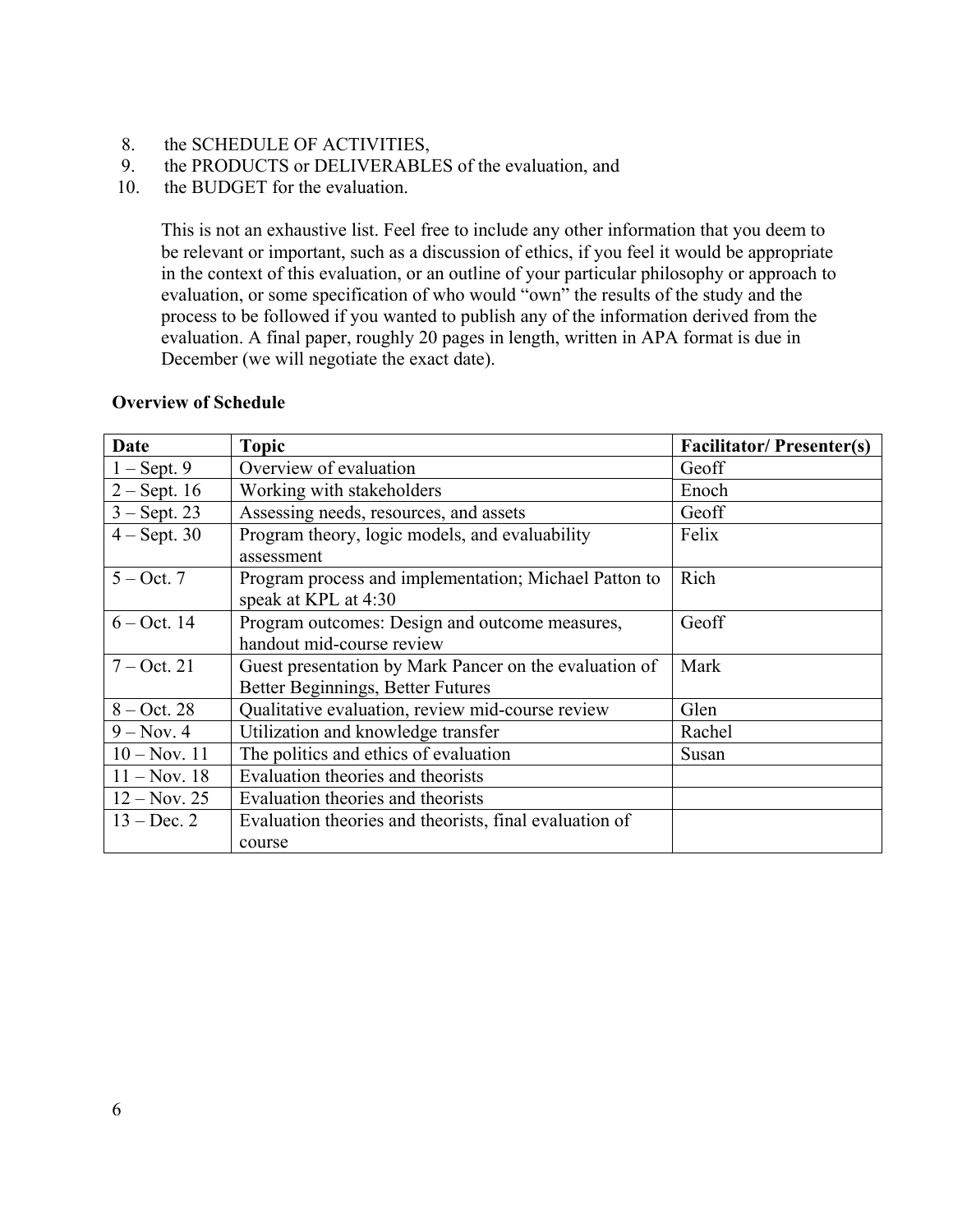- 8. the SCHEDULE OF ACTIVITIES,
- 9. the PRODUCTS or DELIVERABLES of the evaluation, and
- 10. the BUDGET for the evaluation.

This is not an exhaustive list. Feel free to include any other information that you deem to be relevant or important, such as a discussion of ethics, if you feel it would be appropriate in the context of this evaluation, or an outline of your particular philosophy or approach to evaluation, or some specification of who would "own" the results of the study and the process to be followed if you wanted to publish any of the information derived from the evaluation. A final paper, roughly 20 pages in length, written in APA format is due in December (we will negotiate the exact date).

# **Overview of Schedule**

| <b>Date</b>    | <b>Topic</b>                                           | <b>Facilitator/Presenter(s)</b> |
|----------------|--------------------------------------------------------|---------------------------------|
| $1 -$ Sept. 9  | Overview of evaluation                                 | Geoff                           |
| $2 -$ Sept. 16 | Working with stakeholders                              | Enoch                           |
| $3 - Sept. 23$ | Assessing needs, resources, and assets                 | Geoff                           |
| $4 - Sept. 30$ | Program theory, logic models, and evaluability         | Felix                           |
|                | assessment                                             |                                 |
| $5 - Oct. 7$   | Program process and implementation; Michael Patton to  | Rich                            |
|                | speak at KPL at 4:30                                   |                                 |
| $6 - Oct. 14$  | Program outcomes: Design and outcome measures,         | Geoff                           |
|                | handout mid-course review                              |                                 |
| $7 - Oct. 21$  | Guest presentation by Mark Pancer on the evaluation of | Mark                            |
|                | Better Beginnings, Better Futures                      |                                 |
| $8 - Oct. 28$  | Qualitative evaluation, review mid-course review       | Glen                            |
| $9 - Nov. 4$   | Utilization and knowledge transfer                     | Rachel                          |
| $10 - Nov. 11$ | The politics and ethics of evaluation                  | Susan                           |
| $11 - Nov. 18$ | Evaluation theories and theorists                      |                                 |
| $12 - Nov. 25$ | Evaluation theories and theorists                      |                                 |
| $13 - Dec. 2$  | Evaluation theories and theorists, final evaluation of |                                 |
|                | course                                                 |                                 |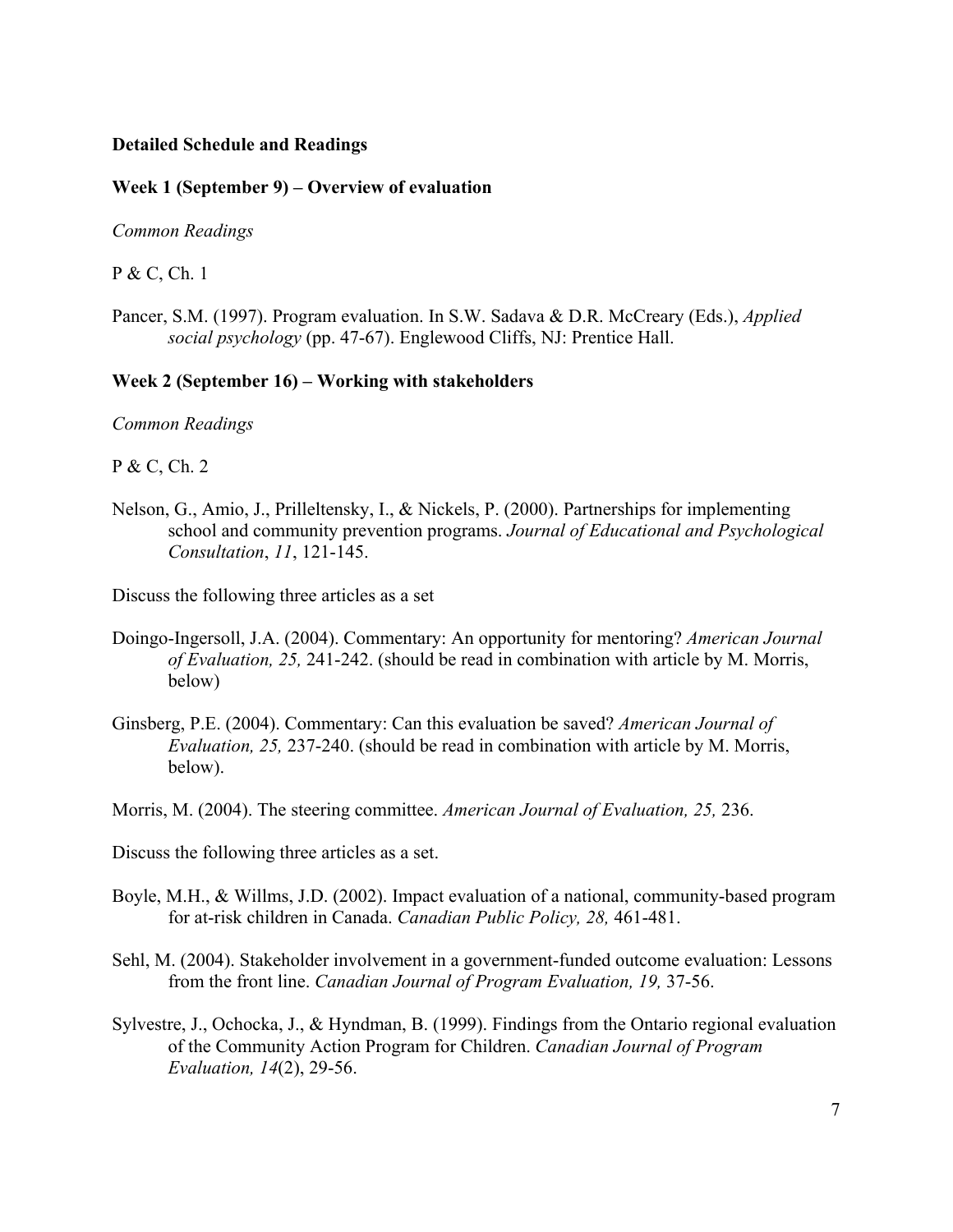# **Detailed Schedule and Readings**

## **Week 1 (September 9) – Overview of evaluation**

*Common Readings*

P & C, Ch. 1

Pancer, S.M. (1997). Program evaluation. In S.W. Sadava & D.R. McCreary (Eds.), *Applied social psychology* (pp. 47-67). Englewood Cliffs, NJ: Prentice Hall.

# **Week 2 (September 16) – Working with stakeholders**

*Common Readings*

P & C, Ch. 2

Nelson, G., Amio, J., Prilleltensky, I., & Nickels, P. (2000). Partnerships for implementing school and community prevention programs. *Journal of Educational and Psychological Consultation*, *11*, 121-145.

Discuss the following three articles as a set

- Doingo-Ingersoll, J.A. (2004). Commentary: An opportunity for mentoring? *American Journal of Evaluation, 25,* 241-242. (should be read in combination with article by M. Morris, below)
- Ginsberg, P.E. (2004). Commentary: Can this evaluation be saved? *American Journal of Evaluation, 25,* 237-240. (should be read in combination with article by M. Morris, below).

Morris, M. (2004). The steering committee. *American Journal of Evaluation, 25,* 236.

Discuss the following three articles as a set.

- Boyle, M.H., & Willms, J.D. (2002). Impact evaluation of a national, community-based program for at-risk children in Canada. *Canadian Public Policy, 28,* 461-481.
- Sehl, M. (2004). Stakeholder involvement in a government-funded outcome evaluation: Lessons from the front line. *Canadian Journal of Program Evaluation, 19,* 37-56.
- Sylvestre, J., Ochocka, J., & Hyndman, B. (1999). Findings from the Ontario regional evaluation of the Community Action Program for Children. *Canadian Journal of Program Evaluation, 14*(2), 29-56.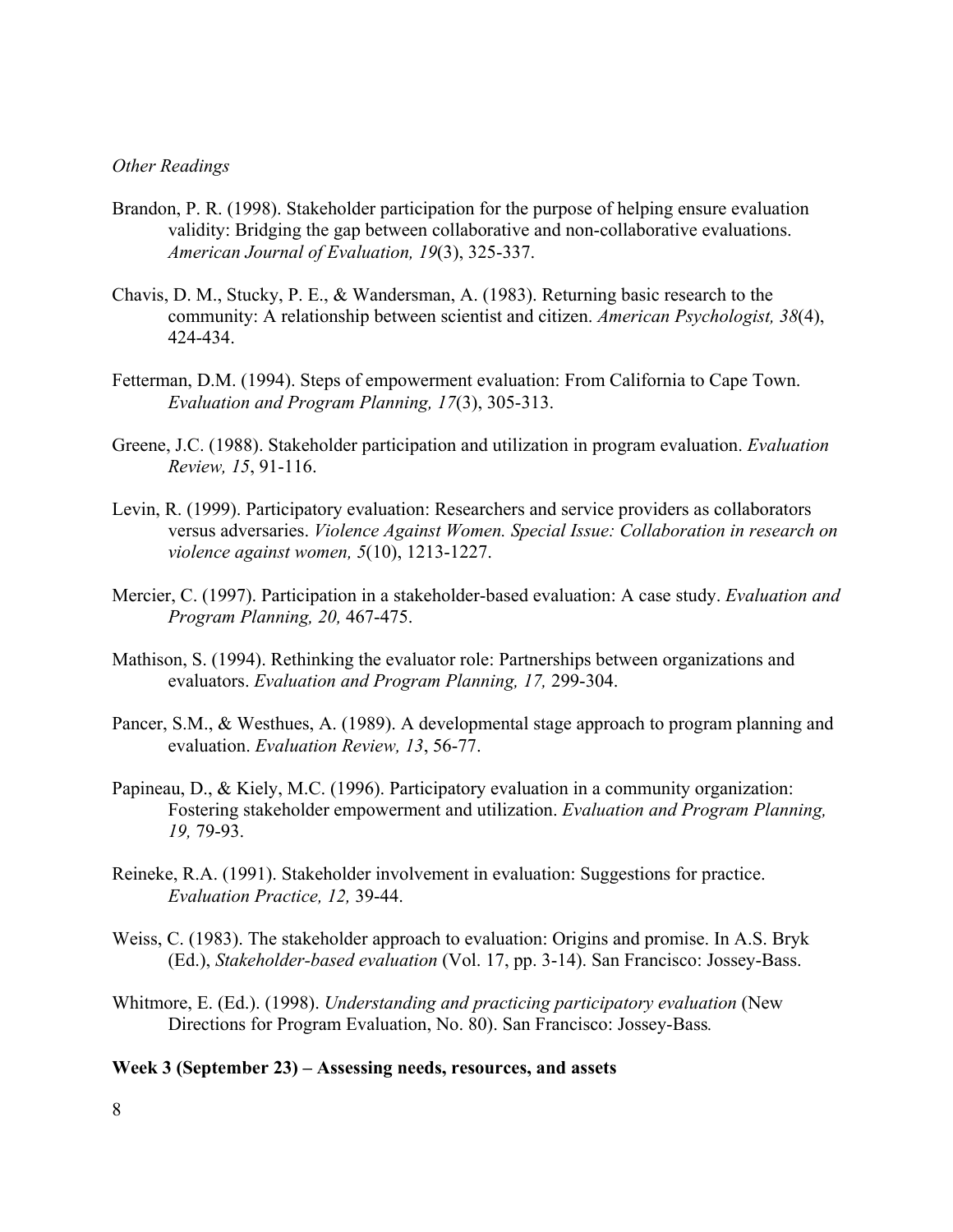### *Other Readings*

- Brandon, P. R. (1998). Stakeholder participation for the purpose of helping ensure evaluation validity: Bridging the gap between collaborative and non-collaborative evaluations. *American Journal of Evaluation, 19*(3), 325-337.
- Chavis, D. M., Stucky, P. E., & Wandersman, A. (1983). Returning basic research to the community: A relationship between scientist and citizen. *American Psychologist, 38*(4), 424-434.
- Fetterman, D.M. (1994). Steps of empowerment evaluation: From California to Cape Town. *Evaluation and Program Planning, 17*(3), 305-313.
- Greene, J.C. (1988). Stakeholder participation and utilization in program evaluation. *Evaluation Review, 15*, 91-116.
- Levin, R. (1999). Participatory evaluation: Researchers and service providers as collaborators versus adversaries. *Violence Against Women. Special Issue: Collaboration in research on violence against women, 5*(10), 1213-1227.
- Mercier, C. (1997). Participation in a stakeholder-based evaluation: A case study. *Evaluation and Program Planning, 20,* 467-475.
- Mathison, S. (1994). Rethinking the evaluator role: Partnerships between organizations and evaluators. *Evaluation and Program Planning, 17,* 299-304.
- Pancer, S.M., & Westhues, A. (1989). A developmental stage approach to program planning and evaluation. *Evaluation Review, 13*, 56-77.
- Papineau, D., & Kiely, M.C. (1996). Participatory evaluation in a community organization: Fostering stakeholder empowerment and utilization. *Evaluation and Program Planning, 19,* 79-93.
- Reineke, R.A. (1991). Stakeholder involvement in evaluation: Suggestions for practice. *Evaluation Practice, 12,* 39-44.
- Weiss, C. (1983). The stakeholder approach to evaluation: Origins and promise. In A.S. Bryk (Ed.), *Stakeholder-based evaluation* (Vol. 17, pp. 3-14). San Francisco: Jossey-Bass.
- Whitmore, E. (Ed.). (1998). *Understanding and practicing participatory evaluation* (New Directions for Program Evaluation, No. 80). San Francisco: Jossey-Bass*.*

#### **Week 3 (September 23) – Assessing needs, resources, and assets**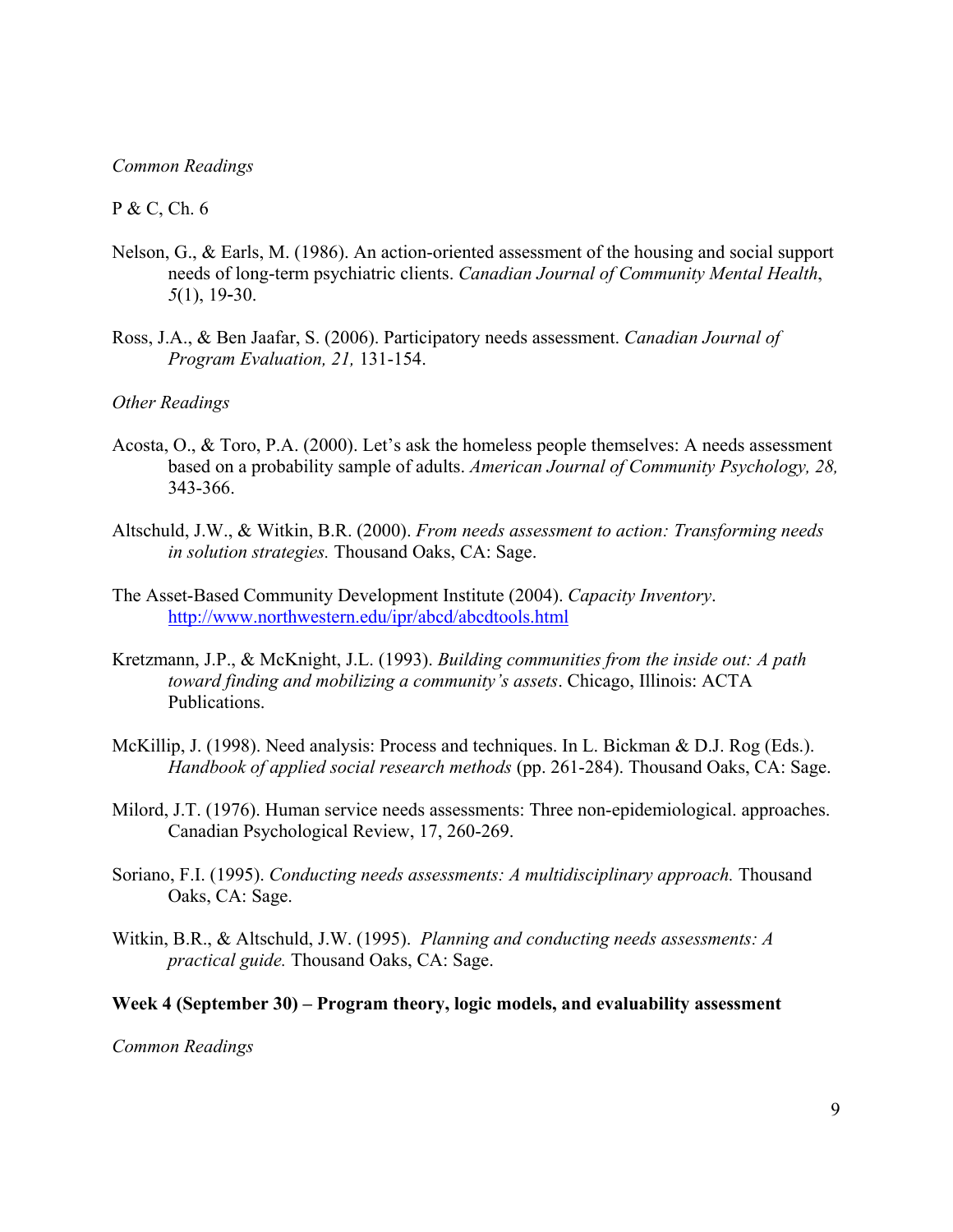### *Common Readings*

### P & C, Ch. 6

- Nelson, G., & Earls, M. (1986). An action-oriented assessment of the housing and social support needs of long-term psychiatric clients. *Canadian Journal of Community Mental Health*, *5*(1), 19-30.
- Ross, J.A., & Ben Jaafar, S. (2006). Participatory needs assessment. *Canadian Journal of Program Evaluation, 21,* 131-154.

## *Other Readings*

- Acosta, O., & Toro, P.A. (2000). Let's ask the homeless people themselves: A needs assessment based on a probability sample of adults. *American Journal of Community Psychology, 28,*  343-366.
- Altschuld, J.W., & Witkin, B.R. (2000). *From needs assessment to action: Transforming needs in solution strategies.* Thousand Oaks, CA: Sage.
- The Asset-Based Community Development Institute (2004). *Capacity Inventory*. http://www.northwestern.edu/ipr/abcd/abcdtools.html
- Kretzmann, J.P., & McKnight, J.L. (1993). *Building communities from the inside out: A path toward finding and mobilizing a community's assets*. Chicago, Illinois: ACTA Publications.
- McKillip, J. (1998). Need analysis: Process and techniques. In L. Bickman & D.J. Rog (Eds.). *Handbook of applied social research methods* (pp. 261-284). Thousand Oaks, CA: Sage.
- Milord, J.T. (1976). Human service needs assessments: Three non-epidemiological. approaches. Canadian Psychological Review, 17, 260-269.
- Soriano, F.I. (1995). *Conducting needs assessments: A multidisciplinary approach*. Thousand Oaks, CA: Sage.
- Witkin, B.R., & Altschuld, J.W. (1995). *Planning and conducting needs assessments: A practical guide.* Thousand Oaks, CA: Sage.

#### **Week 4 (September 30) – Program theory, logic models, and evaluability assessment**

*Common Readings*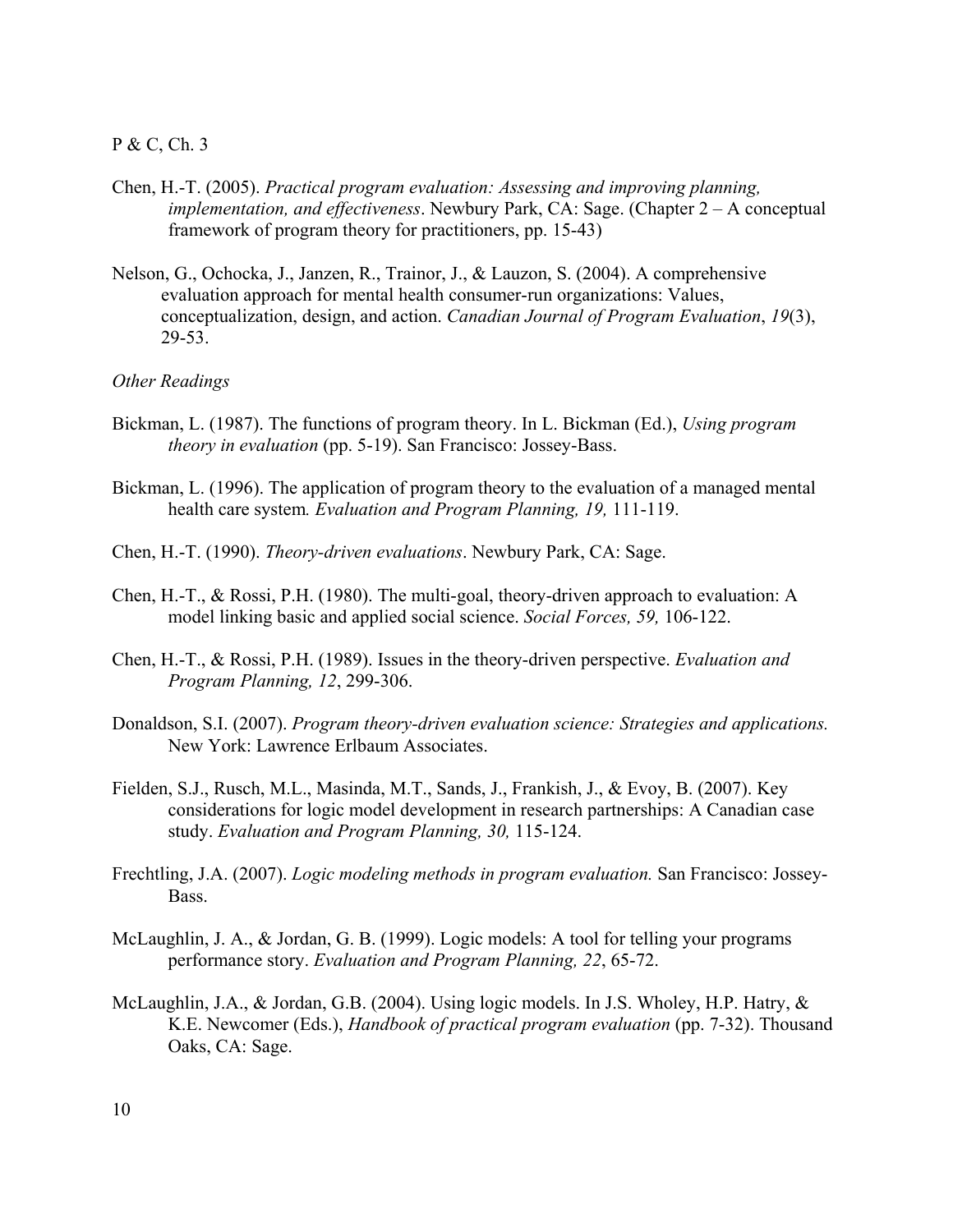### P & C, Ch. 3

- Chen, H.-T. (2005). *Practical program evaluation: Assessing and improving planning, implementation, and effectiveness*. Newbury Park, CA: Sage. (Chapter 2 – A conceptual framework of program theory for practitioners, pp. 15-43)
- Nelson, G., Ochocka, J., Janzen, R., Trainor, J., & Lauzon, S. (2004). A comprehensive evaluation approach for mental health consumer-run organizations: Values, conceptualization, design, and action. *Canadian Journal of Program Evaluation*, *19*(3), 29-53.

#### *Other Readings*

- Bickman, L. (1987). The functions of program theory. In L. Bickman (Ed.), *Using program theory in evaluation* (pp. 5-19). San Francisco: Jossey-Bass.
- Bickman, L. (1996). The application of program theory to the evaluation of a managed mental health care system*. Evaluation and Program Planning, 19,* 111-119.
- Chen, H.-T. (1990). *Theory-driven evaluations*. Newbury Park, CA: Sage.
- Chen, H.-T., & Rossi, P.H. (1980). The multi-goal, theory-driven approach to evaluation: A model linking basic and applied social science. *Social Forces, 59,* 106-122.
- Chen, H.-T., & Rossi, P.H. (1989). Issues in the theory-driven perspective. *Evaluation and Program Planning, 12*, 299-306.
- Donaldson, S.I. (2007). *Program theory-driven evaluation science: Strategies and applications.*  New York: Lawrence Erlbaum Associates.
- Fielden, S.J., Rusch, M.L., Masinda, M.T., Sands, J., Frankish, J., & Evoy, B. (2007). Key considerations for logic model development in research partnerships: A Canadian case study. *Evaluation and Program Planning, 30,* 115-124.
- Frechtling, J.A. (2007). *Logic modeling methods in program evaluation.* San Francisco: Jossey-Bass.
- McLaughlin, J. A., & Jordan, G. B. (1999). Logic models: A tool for telling your programs performance story. *Evaluation and Program Planning, 22*, 65-72.
- McLaughlin, J.A., & Jordan, G.B. (2004). Using logic models. In J.S. Wholey, H.P. Hatry, & K.E. Newcomer (Eds.), *Handbook of practical program evaluation* (pp. 7-32). Thousand Oaks, CA: Sage.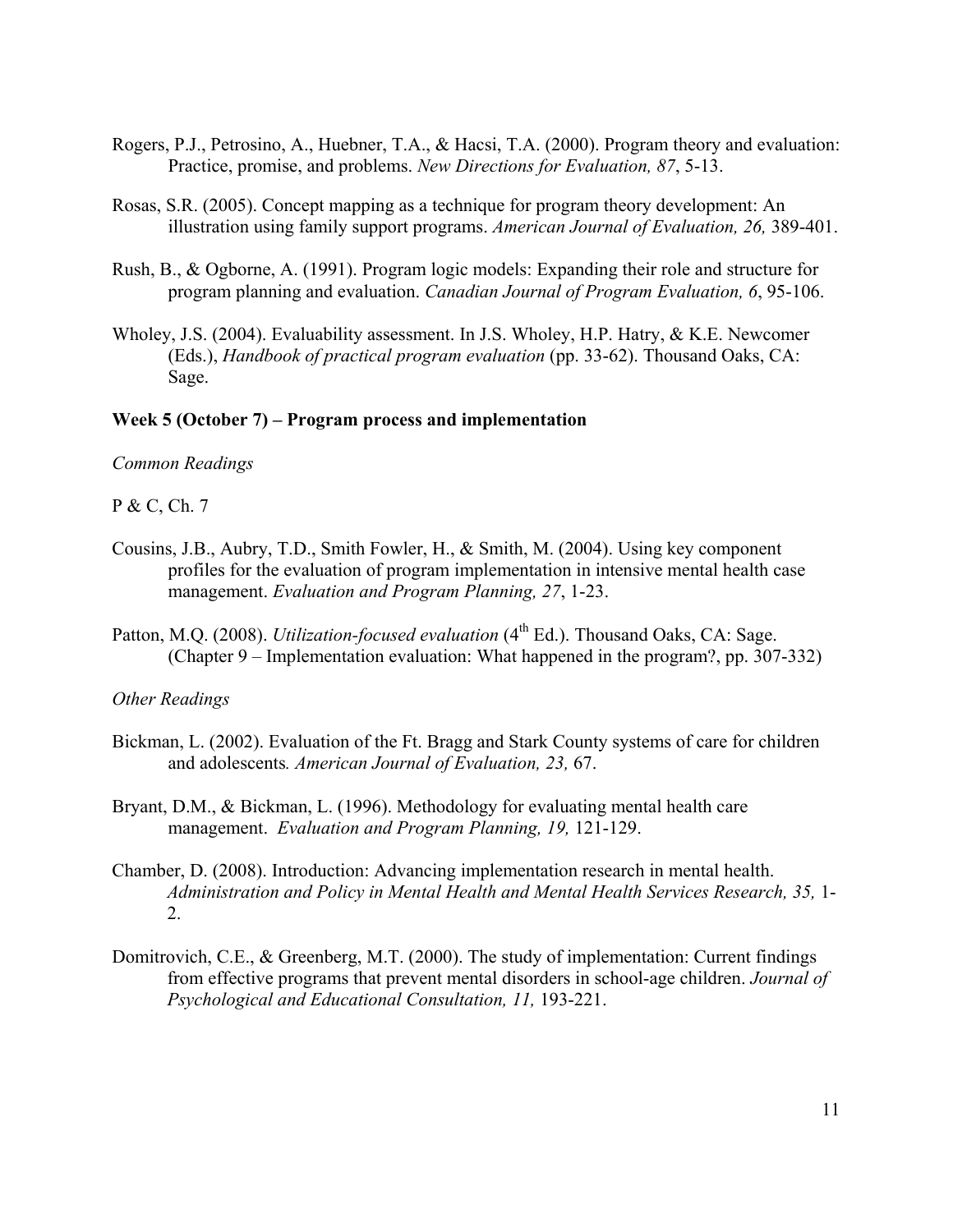- Rogers, P.J., Petrosino, A., Huebner, T.A., & Hacsi, T.A. (2000). Program theory and evaluation: Practice, promise, and problems. *New Directions for Evaluation, 87*, 5-13.
- Rosas, S.R. (2005). Concept mapping as a technique for program theory development: An illustration using family support programs. *American Journal of Evaluation, 26,* 389-401.
- Rush, B., & Ogborne, A. (1991). Program logic models: Expanding their role and structure for program planning and evaluation. *Canadian Journal of Program Evaluation, 6*, 95-106.
- Wholey, J.S. (2004). Evaluability assessment. In J.S. Wholey, H.P. Hatry, & K.E. Newcomer (Eds.), *Handbook of practical program evaluation* (pp. 33-62). Thousand Oaks, CA: Sage.

## **Week 5 (October 7) – Program process and implementation**

# *Common Readings*

P & C, Ch. 7

- Cousins, J.B., Aubry, T.D., Smith Fowler, H., & Smith, M. (2004). Using key component profiles for the evaluation of program implementation in intensive mental health case management. *Evaluation and Program Planning, 27*, 1-23.
- Patton, M.Q. (2008). *Utilization-focused evaluation* (4<sup>th</sup> Ed.). Thousand Oaks, CA: Sage. (Chapter 9 – Implementation evaluation: What happened in the program?, pp. 307-332)

### *Other Readings*

- Bickman, L. (2002). Evaluation of the Ft. Bragg and Stark County systems of care for children and adolescents*. American Journal of Evaluation, 23,* 67.
- Bryant, D.M., & Bickman, L. (1996). Methodology for evaluating mental health care management. *Evaluation and Program Planning, 19,* 121-129.
- Chamber, D. (2008). Introduction: Advancing implementation research in mental health. *Administration and Policy in Mental Health and Mental Health Services Research, 35,* 1- 2.
- Domitrovich, C.E., & Greenberg, M.T. (2000). The study of implementation: Current findings from effective programs that prevent mental disorders in school-age children. *Journal of Psychological and Educational Consultation, 11,* 193-221.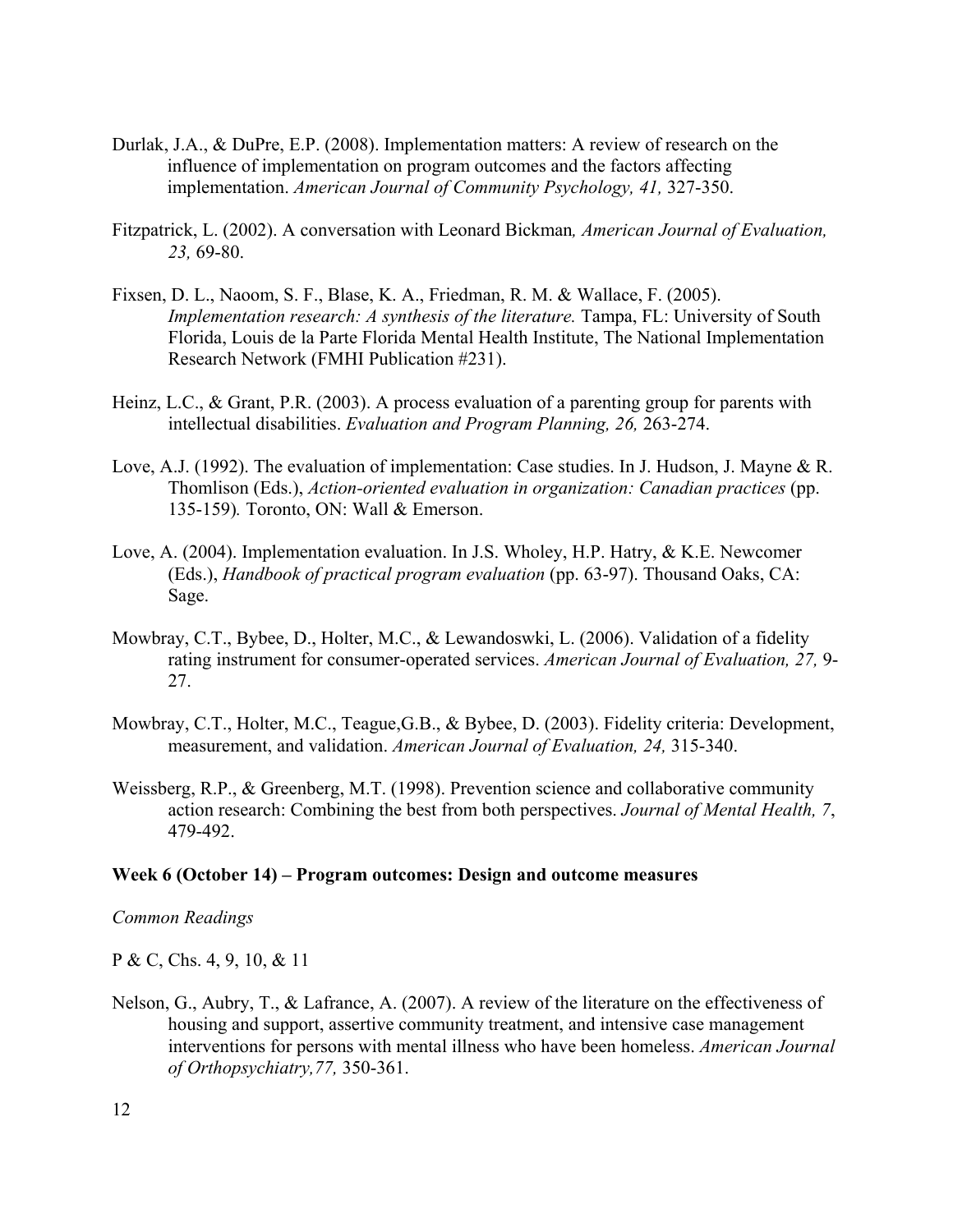- Durlak, J.A., & DuPre, E.P. (2008). Implementation matters: A review of research on the influence of implementation on program outcomes and the factors affecting implementation. *American Journal of Community Psychology, 41,* 327-350.
- Fitzpatrick, L. (2002). A conversation with Leonard Bickman*, American Journal of Evaluation, 23,* 69-80.
- Fixsen, D. L., Naoom, S. F., Blase, K. A., Friedman, R. M. & Wallace, F. (2005). *Implementation research: A synthesis of the literature. Tampa, FL: University of South* Florida, Louis de la Parte Florida Mental Health Institute, The National Implementation Research Network (FMHI Publication #231).
- Heinz, L.C., & Grant, P.R. (2003). A process evaluation of a parenting group for parents with intellectual disabilities. *Evaluation and Program Planning, 26,* 263-274.
- Love, A.J. (1992). The evaluation of implementation: Case studies. In J. Hudson, J. Mayne & R. Thomlison (Eds.), *Action-oriented evaluation in organization: Canadian practices* (pp. 135-159)*.* Toronto, ON: Wall & Emerson.
- Love, A. (2004). Implementation evaluation. In J.S. Wholey, H.P. Hatry, & K.E. Newcomer (Eds.), *Handbook of practical program evaluation* (pp. 63-97). Thousand Oaks, CA: Sage.
- Mowbray, C.T., Bybee, D., Holter, M.C., & Lewandoswki, L. (2006). Validation of a fidelity rating instrument for consumer-operated services. *American Journal of Evaluation, 27,* 9- 27.
- Mowbray, C.T., Holter, M.C., Teague,G.B., & Bybee, D. (2003). Fidelity criteria: Development, measurement, and validation. *American Journal of Evaluation, 24,* 315-340.
- Weissberg, R.P., & Greenberg, M.T. (1998). Prevention science and collaborative community action research: Combining the best from both perspectives. *Journal of Mental Health, 7*, 479-492.

### **Week 6 (October 14) – Program outcomes: Design and outcome measures**

#### *Common Readings*

P & C, Chs. 4, 9, 10, & 11

Nelson, G., Aubry, T., & Lafrance, A. (2007). A review of the literature on the effectiveness of housing and support, assertive community treatment, and intensive case management interventions for persons with mental illness who have been homeless. *American Journal of Orthopsychiatry,77,* 350-361.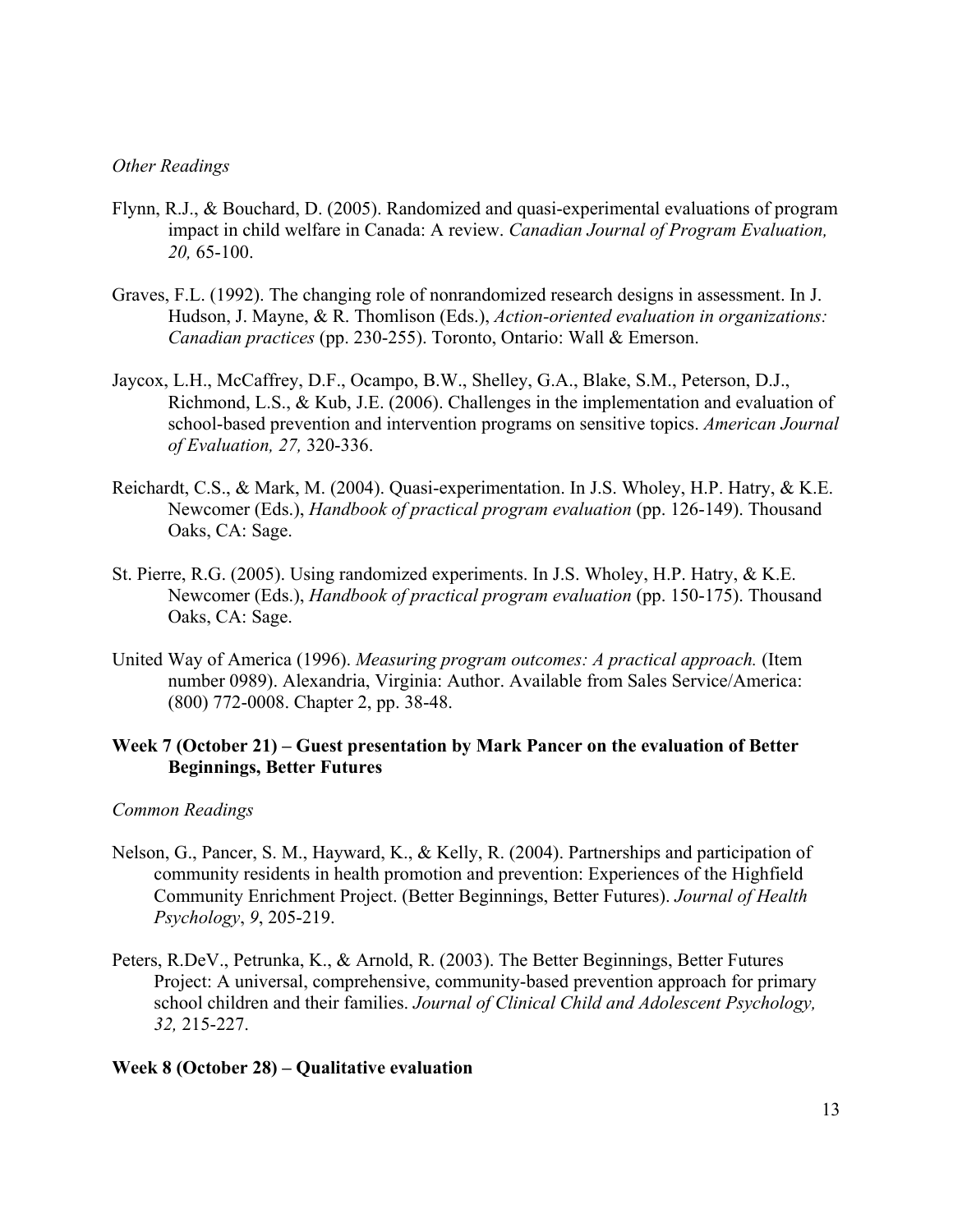# *Other Readings*

- Flynn, R.J., & Bouchard, D. (2005). Randomized and quasi-experimental evaluations of program impact in child welfare in Canada: A review. *Canadian Journal of Program Evaluation, 20,* 65-100.
- Graves, F.L. (1992). The changing role of nonrandomized research designs in assessment. In J. Hudson, J. Mayne, & R. Thomlison (Eds.), *Action-oriented evaluation in organizations: Canadian practices* (pp. 230-255). Toronto, Ontario: Wall & Emerson.
- Jaycox, L.H., McCaffrey, D.F., Ocampo, B.W., Shelley, G.A., Blake, S.M., Peterson, D.J., Richmond, L.S., & Kub, J.E. (2006). Challenges in the implementation and evaluation of school-based prevention and intervention programs on sensitive topics. *American Journal of Evaluation, 27,* 320-336.
- Reichardt, C.S., & Mark, M. (2004). Quasi-experimentation. In J.S. Wholey, H.P. Hatry, & K.E. Newcomer (Eds.), *Handbook of practical program evaluation* (pp. 126-149). Thousand Oaks, CA: Sage.
- St. Pierre, R.G. (2005). Using randomized experiments. In J.S. Wholey, H.P. Hatry, & K.E. Newcomer (Eds.), *Handbook of practical program evaluation* (pp. 150-175). Thousand Oaks, CA: Sage.
- United Way of America (1996). *Measuring program outcomes: A practical approach.* (Item number 0989). Alexandria, Virginia: Author. Available from Sales Service/America: (800) 772-0008. Chapter 2, pp. 38-48.

# **Week 7 (October 21) – Guest presentation by Mark Pancer on the evaluation of Better Beginnings, Better Futures**

### *Common Readings*

- Nelson, G., Pancer, S. M., Hayward, K., & Kelly, R. (2004). Partnerships and participation of community residents in health promotion and prevention: Experiences of the Highfield Community Enrichment Project. (Better Beginnings, Better Futures). *Journal of Health Psychology*, *9*, 205-219.
- Peters, R.DeV., Petrunka, K., & Arnold, R. (2003). The Better Beginnings, Better Futures Project: A universal, comprehensive, community-based prevention approach for primary school children and their families. *Journal of Clinical Child and Adolescent Psychology, 32,* 215-227.

### **Week 8 (October 28) – Qualitative evaluation**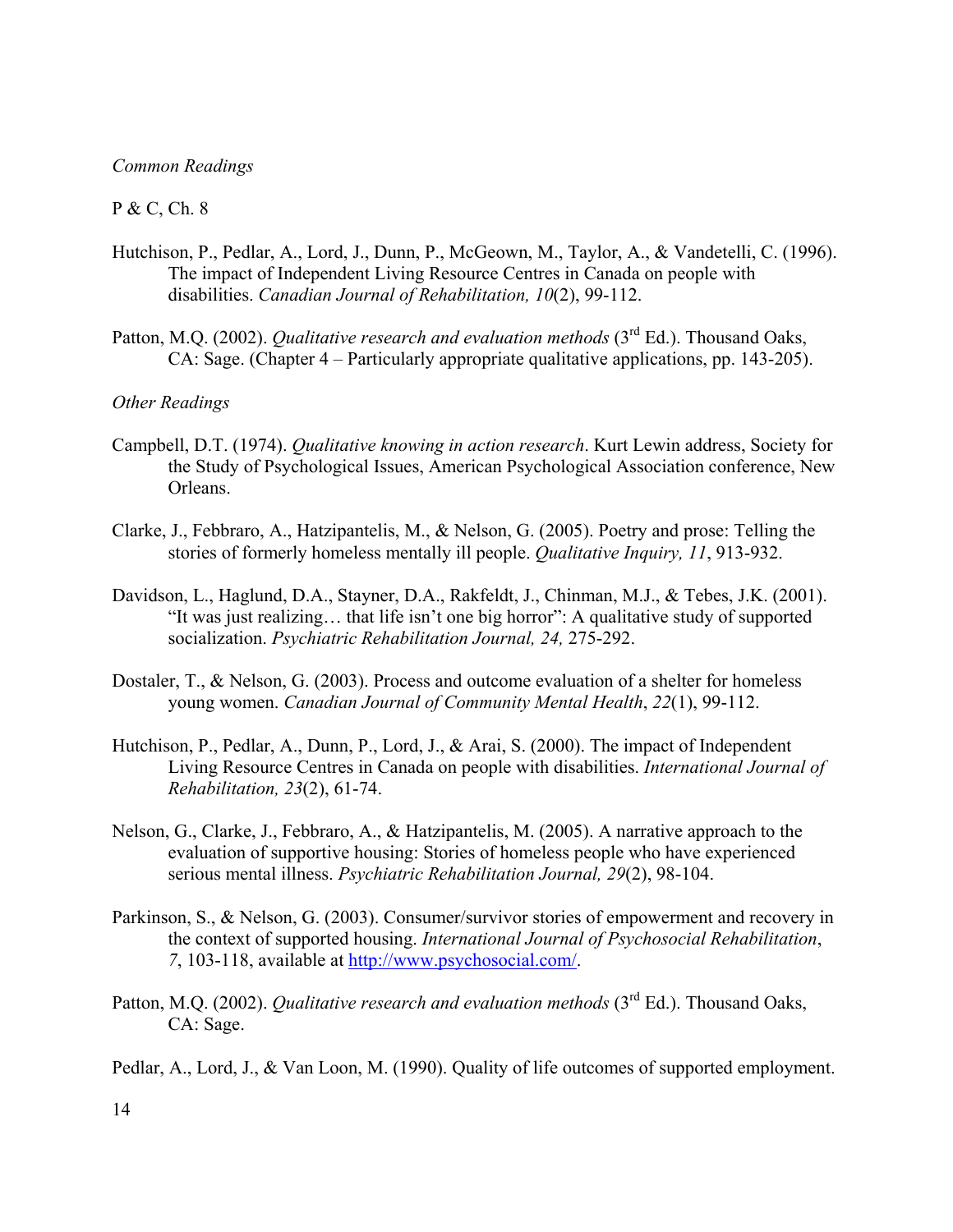### *Common Readings*

### P & C, Ch. 8

- Hutchison, P., Pedlar, A., Lord, J., Dunn, P., McGeown, M., Taylor, A., & Vandetelli, C. (1996). The impact of Independent Living Resource Centres in Canada on people with disabilities. *Canadian Journal of Rehabilitation, 10*(2), 99-112.
- Patton, M.Q. (2002). *Qualitative research and evaluation methods* (3<sup>rd</sup> Ed.). Thousand Oaks, CA: Sage. (Chapter 4 – Particularly appropriate qualitative applications, pp. 143-205).

# *Other Readings*

- Campbell, D.T. (1974). *Qualitative knowing in action research*. Kurt Lewin address, Society for the Study of Psychological Issues, American Psychological Association conference, New Orleans.
- Clarke, J., Febbraro, A., Hatzipantelis, M., & Nelson, G. (2005). Poetry and prose: Telling the stories of formerly homeless mentally ill people. *Qualitative Inquiry, 11*, 913-932.
- Davidson, L., Haglund, D.A., Stayner, D.A., Rakfeldt, J., Chinman, M.J., & Tebes, J.K. (2001). "It was just realizing… that life isn't one big horror": A qualitative study of supported socialization. *Psychiatric Rehabilitation Journal, 24,* 275-292.
- Dostaler, T., & Nelson, G. (2003). Process and outcome evaluation of a shelter for homeless young women. *Canadian Journal of Community Mental Health*, *22*(1), 99-112.
- Hutchison, P., Pedlar, A., Dunn, P., Lord, J., & Arai, S. (2000). The impact of Independent Living Resource Centres in Canada on people with disabilities. *International Journal of Rehabilitation, 23*(2), 61-74.
- Nelson, G., Clarke, J., Febbraro, A., & Hatzipantelis, M. (2005). A narrative approach to the evaluation of supportive housing: Stories of homeless people who have experienced serious mental illness. *Psychiatric Rehabilitation Journal, 29*(2), 98-104.
- Parkinson, S., & Nelson, G. (2003). Consumer/survivor stories of empowerment and recovery in the context of supported housing. *International Journal of Psychosocial Rehabilitation*, *7*, 103-118, available at http://www.psychosocial.com/.
- Patton, M.Q. (2002). *Qualitative research and evaluation methods* (3<sup>rd</sup> Ed.). Thousand Oaks, CA: Sage.

Pedlar, A., Lord, J., & Van Loon, M. (1990). Quality of life outcomes of supported employment.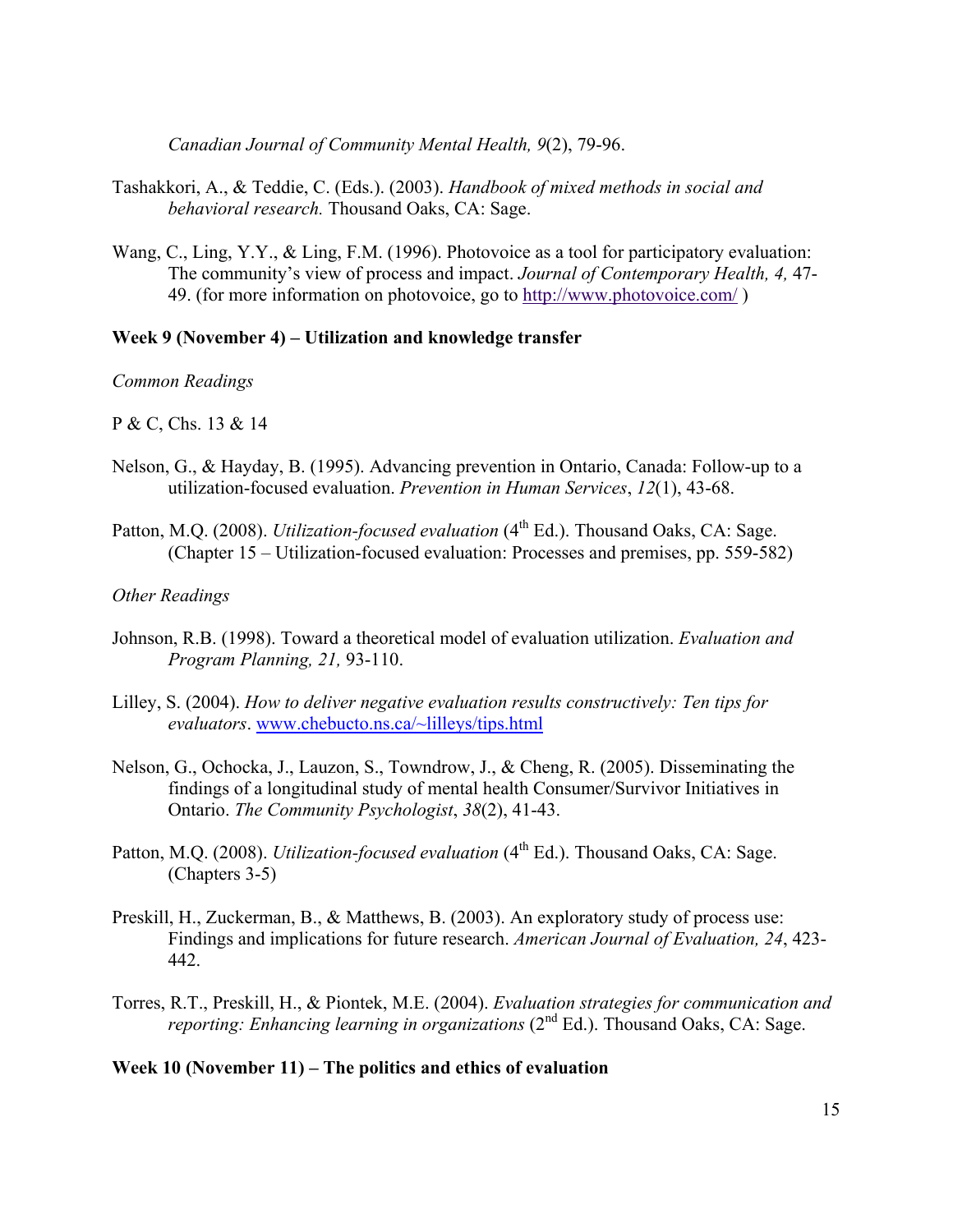*Canadian Journal of Community Mental Health, 9*(2), 79-96.

- Tashakkori, A., & Teddie, C. (Eds.). (2003). *Handbook of mixed methods in social and behavioral research.* Thousand Oaks, CA: Sage.
- Wang, C., Ling, Y.Y., & Ling, F.M. (1996). Photovoice as a tool for participatory evaluation: The community's view of process and impact. *Journal of Contemporary Health, 4,* 47- 49. (for more information on photovoice, go to http://www.photovoice.com/ )

### **Week 9 (November 4) – Utilization and knowledge transfer**

*Common Readings*

P & C, Chs. 13 & 14

- Nelson, G., & Hayday, B. (1995). Advancing prevention in Ontario, Canada: Follow-up to a utilization-focused evaluation. *Prevention in Human Services*, *12*(1), 43-68.
- Patton, M.Q. (2008). *Utilization-focused evaluation* (4<sup>th</sup> Ed.). Thousand Oaks, CA: Sage. (Chapter 15 – Utilization-focused evaluation: Processes and premises, pp. 559-582)

### *Other Readings*

- Johnson, R.B. (1998). Toward a theoretical model of evaluation utilization. *Evaluation and Program Planning, 21,* 93-110.
- Lilley, S. (2004). *How to deliver negative evaluation results constructively: Ten tips for evaluators*. www.chebucto.ns.ca/~lilleys/tips.html
- Nelson, G., Ochocka, J., Lauzon, S., Towndrow, J., & Cheng, R. (2005). Disseminating the findings of a longitudinal study of mental health Consumer/Survivor Initiatives in Ontario. *The Community Psychologist*, *38*(2), 41-43.
- Patton, M.Q. (2008). *Utilization-focused evaluation* (4<sup>th</sup> Ed.). Thousand Oaks, CA: Sage. (Chapters 3-5)
- Preskill, H., Zuckerman, B., & Matthews, B. (2003). An exploratory study of process use: Findings and implications for future research. *American Journal of Evaluation, 24*, 423- 442.
- Torres, R.T., Preskill, H., & Piontek, M.E. (2004). *Evaluation strategies for communication and reporting: Enhancing learning in organizations* (2<sup>nd</sup> Ed.). Thousand Oaks, CA: Sage.

**Week 10 (November 11) – The politics and ethics of evaluation**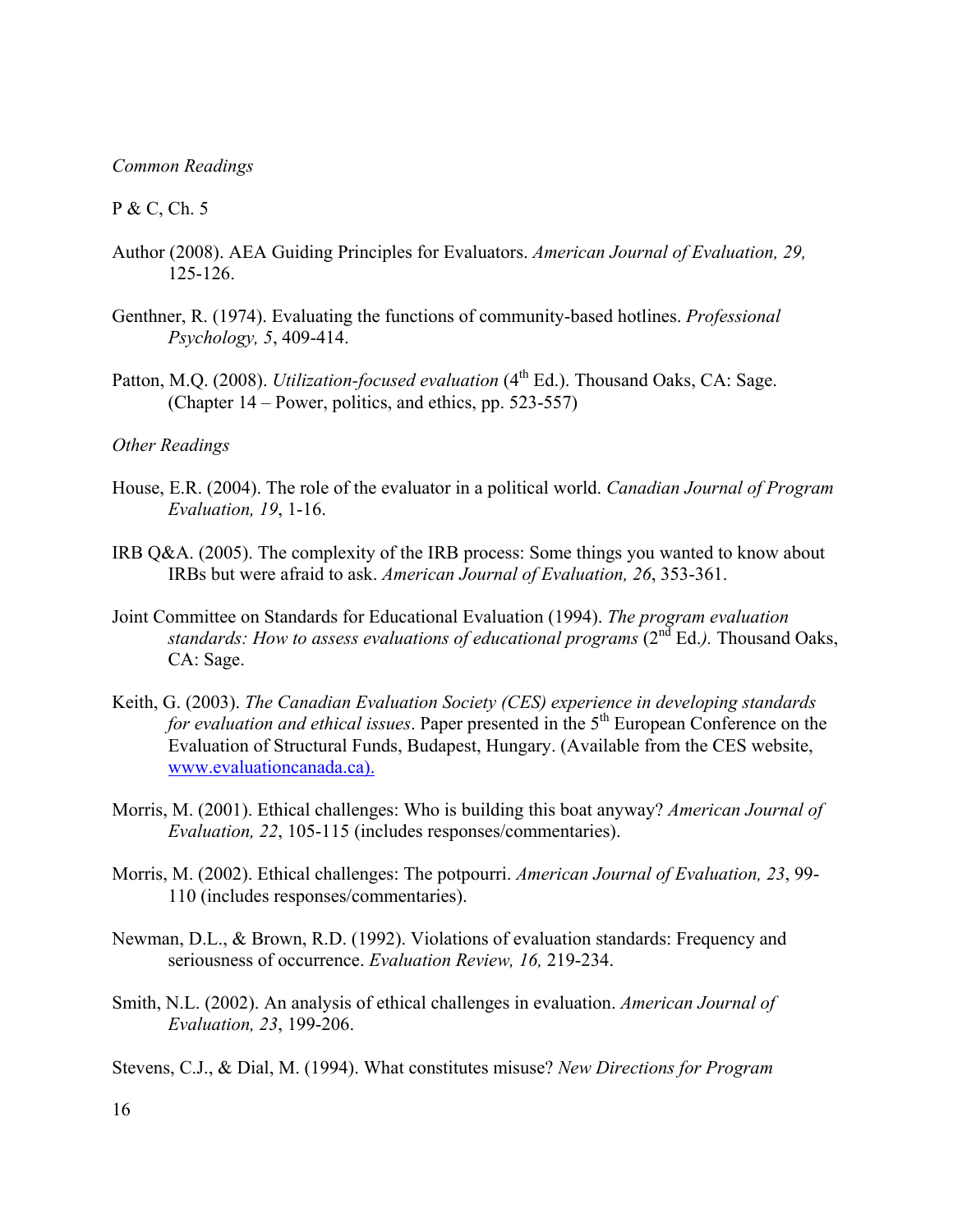### *Common Readings*

### P & C, Ch. 5

- Author (2008). AEA Guiding Principles for Evaluators. *American Journal of Evaluation, 29,*  125-126.
- Genthner, R. (1974). Evaluating the functions of community-based hotlines. *Professional Psychology, 5*, 409-414.
- Patton, M.Q. (2008). *Utilization-focused evaluation* (4<sup>th</sup> Ed.). Thousand Oaks, CA: Sage. (Chapter 14 – Power, politics, and ethics, pp. 523-557)

## *Other Readings*

- House, E.R. (2004). The role of the evaluator in a political world. *Canadian Journal of Program Evaluation, 19*, 1-16.
- IRB Q&A. (2005). The complexity of the IRB process: Some things you wanted to know about IRBs but were afraid to ask. *American Journal of Evaluation, 26*, 353-361.
- Joint Committee on Standards for Educational Evaluation (1994). *The program evaluation standards: How to assess evaluations of educational programs (2<sup>nd</sup> Ed.). Thousand Oaks,* CA: Sage.
- Keith, G. (2003). *The Canadian Evaluation Society (CES) experience in developing standards for evaluation and ethical issues.* Paper presented in the 5<sup>th</sup> European Conference on the Evaluation of Structural Funds, Budapest, Hungary. (Available from the CES website, www.evaluationcanada.ca).
- Morris, M. (2001). Ethical challenges: Who is building this boat anyway? *American Journal of Evaluation, 22*, 105-115 (includes responses/commentaries).
- Morris, M. (2002). Ethical challenges: The potpourri. *American Journal of Evaluation, 23*, 99- 110 (includes responses/commentaries).
- Newman, D.L., & Brown, R.D. (1992). Violations of evaluation standards: Frequency and seriousness of occurrence. *Evaluation Review, 16,* 219-234.
- Smith, N.L. (2002). An analysis of ethical challenges in evaluation. *American Journal of Evaluation, 23*, 199-206.
- Stevens, C.J., & Dial, M. (1994). What constitutes misuse? *New Directions for Program*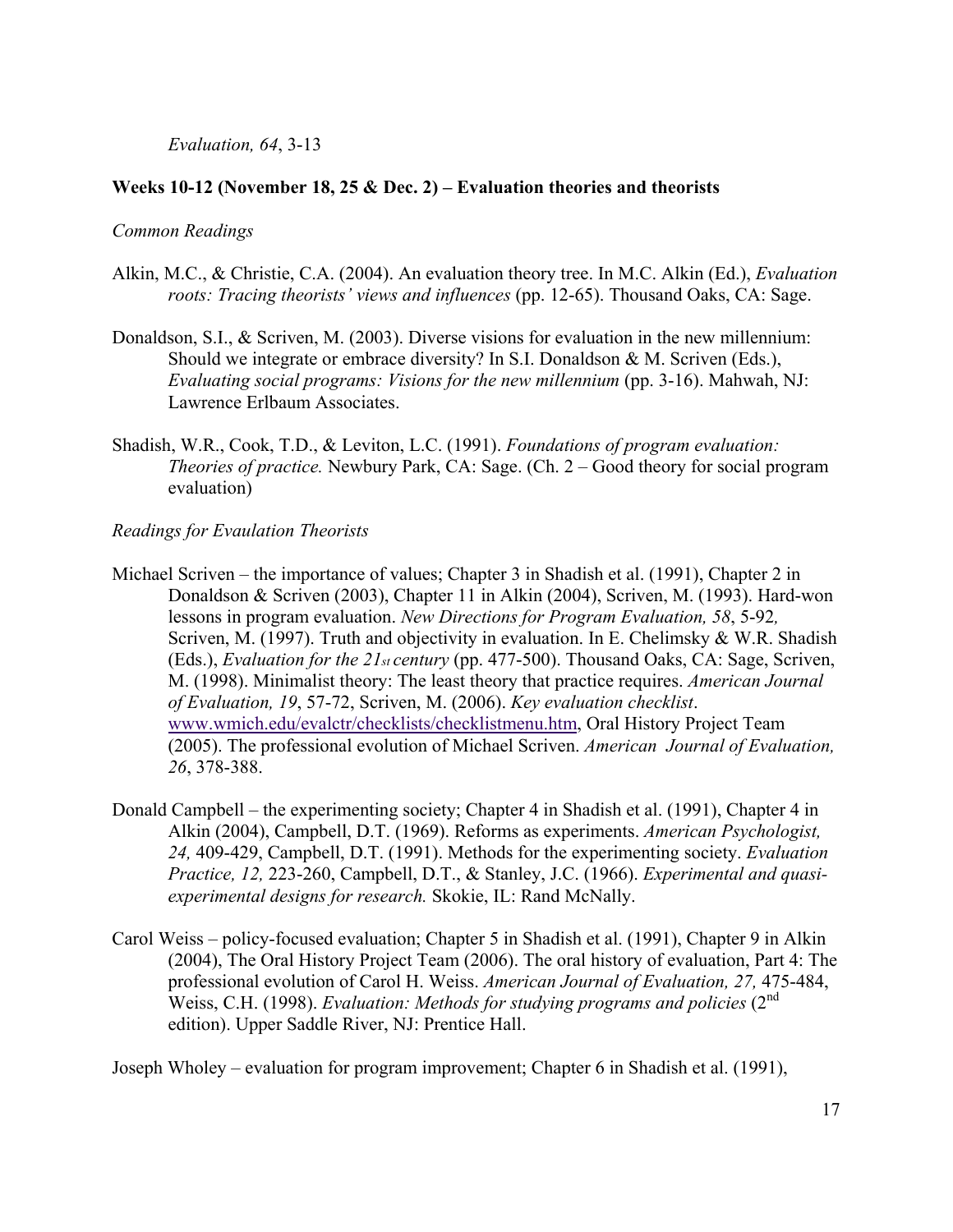# *Evaluation, 64*, 3-13

# **Weeks 10-12 (November 18, 25 & Dec. 2) – Evaluation theories and theorists**

## *Common Readings*

- Alkin, M.C., & Christie, C.A. (2004). An evaluation theory tree. In M.C. Alkin (Ed.), *Evaluation roots: Tracing theorists' views and influences* (pp. 12-65). Thousand Oaks, CA: Sage.
- Donaldson, S.I., & Scriven, M. (2003). Diverse visions for evaluation in the new millennium: Should we integrate or embrace diversity? In S.I. Donaldson & M. Scriven (Eds.), *Evaluating social programs: Visions for the new millennium (pp. 3-16). Mahwah, NJ:* Lawrence Erlbaum Associates.
- Shadish, W.R., Cook, T.D., & Leviton, L.C. (1991). *Foundations of program evaluation: Theories of practice.* Newbury Park, CA: Sage. (Ch. 2 – Good theory for social program evaluation)

# *Readings for Evaulation Theorists*

- Michael Scriven the importance of values; Chapter 3 in Shadish et al. (1991), Chapter 2 in Donaldson & Scriven (2003), Chapter 11 in Alkin (2004), Scriven, M. (1993). Hard-won lessons in program evaluation. *New Directions for Program Evaluation, 58*, 5-92*,*  Scriven, M. (1997). Truth and objectivity in evaluation. In E. Chelimsky & W.R. Shadish (Eds.), *Evaluation for the 21st century* (pp. 477-500). Thousand Oaks, CA: Sage, Scriven, M. (1998). Minimalist theory: The least theory that practice requires. *American Journal of Evaluation, 19*, 57-72, Scriven, M. (2006). *Key evaluation checklist*. www.wmich.edu/evalctr/checklists/checklistmenu.htm, Oral History Project Team (2005). The professional evolution of Michael Scriven. *American Journal of Evaluation, 26*, 378-388.
- Donald Campbell the experimenting society; Chapter 4 in Shadish et al. (1991), Chapter 4 in Alkin (2004), Campbell, D.T. (1969). Reforms as experiments. *American Psychologist, 24,* 409-429, Campbell, D.T. (1991). Methods for the experimenting society. *Evaluation Practice, 12,* 223-260, Campbell, D.T., & Stanley, J.C. (1966). *Experimental and quasiexperimental designs for research.* Skokie, IL: Rand McNally.
- Carol Weiss policy-focused evaluation; Chapter 5 in Shadish et al. (1991), Chapter 9 in Alkin (2004), The Oral History Project Team (2006). The oral history of evaluation, Part 4: The professional evolution of Carol H. Weiss. *American Journal of Evaluation, 27,* 475-484, Weiss, C.H. (1998). *Evaluation: Methods for studying programs and policies* (2<sup>nd</sup>) edition). Upper Saddle River, NJ: Prentice Hall.

Joseph Wholey – evaluation for program improvement; Chapter 6 in Shadish et al. (1991),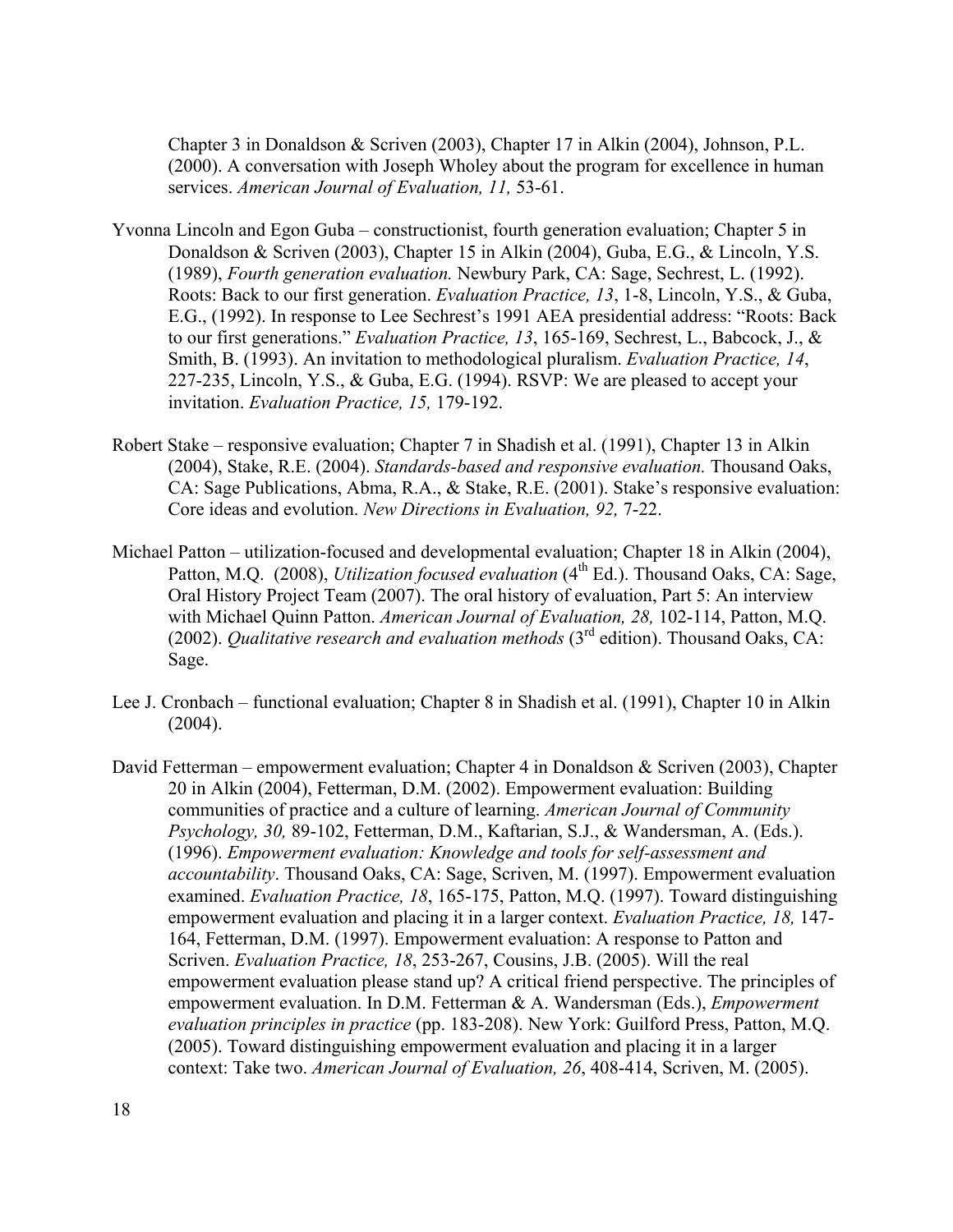Chapter 3 in Donaldson & Scriven (2003), Chapter 17 in Alkin (2004), Johnson, P.L. (2000). A conversation with Joseph Wholey about the program for excellence in human services. *American Journal of Evaluation, 11,* 53-61.

- Yvonna Lincoln and Egon Guba constructionist, fourth generation evaluation; Chapter 5 in Donaldson & Scriven (2003), Chapter 15 in Alkin (2004), Guba, E.G., & Lincoln, Y.S. (1989), *Fourth generation evaluation.* Newbury Park, CA: Sage, Sechrest, L. (1992). Roots: Back to our first generation. *Evaluation Practice, 13*, 1-8, Lincoln, Y.S., & Guba, E.G., (1992). In response to Lee Sechrest's 1991 AEA presidential address: "Roots: Back to our first generations." *Evaluation Practice, 13*, 165-169, Sechrest, L., Babcock, J., & Smith, B. (1993). An invitation to methodological pluralism. *Evaluation Practice, 14*, 227-235, Lincoln, Y.S., & Guba, E.G. (1994). RSVP: We are pleased to accept your invitation. *Evaluation Practice, 15,* 179-192.
- Robert Stake responsive evaluation; Chapter 7 in Shadish et al. (1991), Chapter 13 in Alkin (2004), Stake, R.E. (2004). *Standards-based and responsive evaluation.* Thousand Oaks, CA: Sage Publications, Abma, R.A., & Stake, R.E. (2001). Stake's responsive evaluation: Core ideas and evolution. *New Directions in Evaluation, 92,* 7-22.
- Michael Patton utilization-focused and developmental evaluation; Chapter 18 in Alkin (2004), Patton, M.Q. (2008), *Utilization focused evaluation* (4<sup>th</sup> Ed.). Thousand Oaks, CA: Sage, Oral History Project Team (2007). The oral history of evaluation, Part 5: An interview with Michael Quinn Patton. *American Journal of Evaluation, 28,* 102-114, Patton, M.Q. (2002). *Qualitative research and evaluation methods* (3rd edition). Thousand Oaks, CA: Sage.
- Lee J. Cronbach functional evaluation; Chapter 8 in Shadish et al. (1991), Chapter 10 in Alkin (2004).
- David Fetterman empowerment evaluation; Chapter 4 in Donaldson & Scriven (2003), Chapter 20 in Alkin (2004), Fetterman, D.M. (2002). Empowerment evaluation: Building communities of practice and a culture of learning. *American Journal of Community Psychology, 30,* 89-102, Fetterman, D.M., Kaftarian, S.J., & Wandersman, A. (Eds.). (1996). *Empowerment evaluation: Knowledge and tools for self-assessment and accountability*. Thousand Oaks, CA: Sage, Scriven, M. (1997). Empowerment evaluation examined. *Evaluation Practice, 18*, 165-175, Patton, M.Q. (1997). Toward distinguishing empowerment evaluation and placing it in a larger context. *Evaluation Practice, 18,* 147- 164, Fetterman, D.M. (1997). Empowerment evaluation: A response to Patton and Scriven. *Evaluation Practice, 18*, 253-267, Cousins, J.B. (2005). Will the real empowerment evaluation please stand up? A critical friend perspective. The principles of empowerment evaluation. In D.M. Fetterman & A. Wandersman (Eds.), *Empowerment evaluation principles in practice* (pp. 183-208). New York: Guilford Press, Patton, M.Q. (2005). Toward distinguishing empowerment evaluation and placing it in a larger context: Take two. *American Journal of Evaluation, 26*, 408-414, Scriven, M. (2005).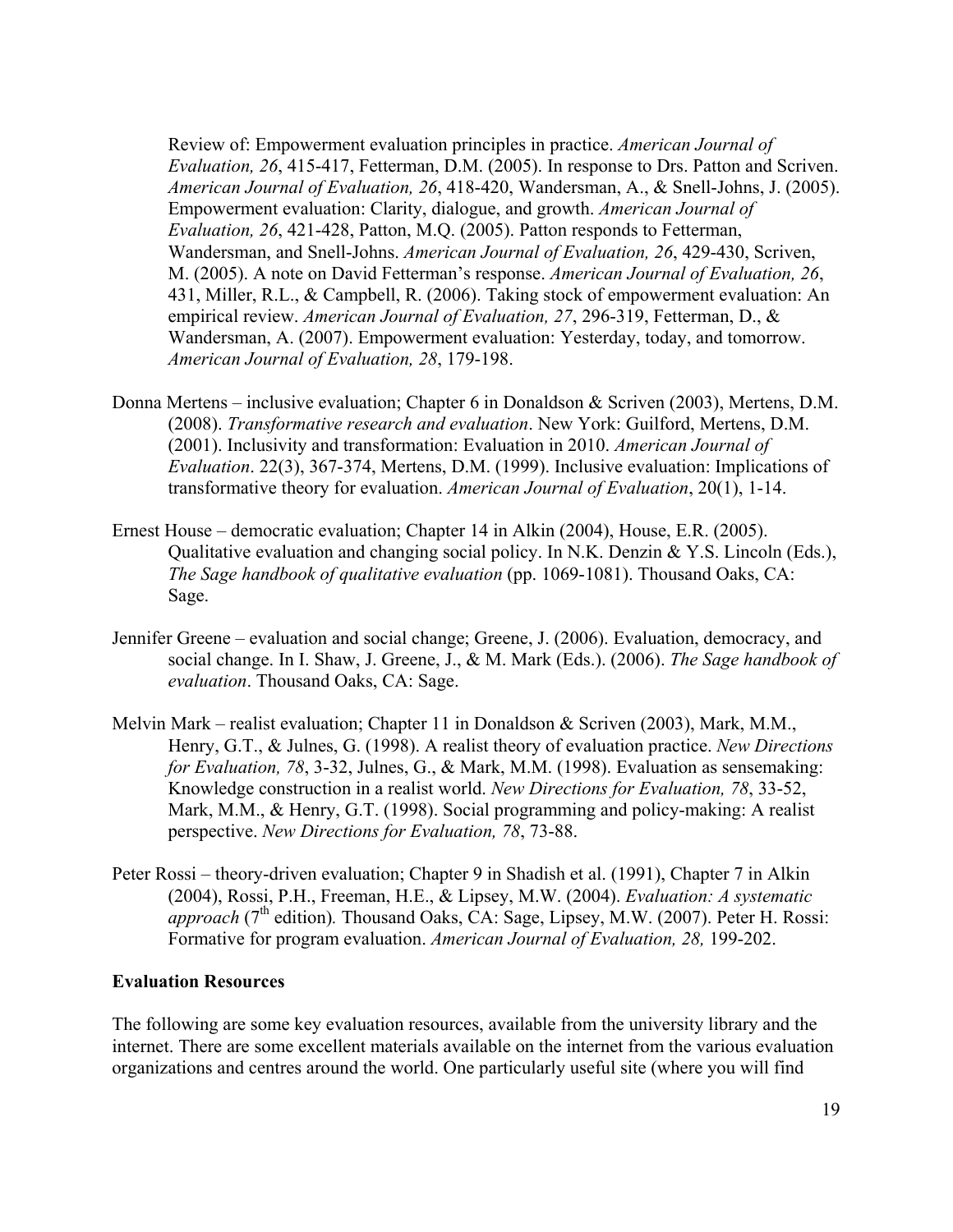Review of: Empowerment evaluation principles in practice. *American Journal of Evaluation, 26*, 415-417, Fetterman, D.M. (2005). In response to Drs. Patton and Scriven. *American Journal of Evaluation, 26*, 418-420, Wandersman, A., & Snell-Johns, J. (2005). Empowerment evaluation: Clarity, dialogue, and growth. *American Journal of Evaluation, 26*, 421-428, Patton, M.Q. (2005). Patton responds to Fetterman, Wandersman, and Snell-Johns. *American Journal of Evaluation, 26*, 429-430, Scriven, M. (2005). A note on David Fetterman's response. *American Journal of Evaluation, 26*, 431, Miller, R.L., & Campbell, R. (2006). Taking stock of empowerment evaluation: An empirical review. *American Journal of Evaluation, 27*, 296-319, Fetterman, D., & Wandersman, A. (2007). Empowerment evaluation: Yesterday, today, and tomorrow. *American Journal of Evaluation, 28*, 179-198.

- Donna Mertens inclusive evaluation; Chapter 6 in Donaldson & Scriven (2003), Mertens, D.M. (2008). *Transformative research and evaluation*. New York: Guilford, Mertens, D.M. (2001). Inclusivity and transformation: Evaluation in 2010. *American Journal of Evaluation*. 22(3), 367-374, Mertens, D.M. (1999). Inclusive evaluation: Implications of transformative theory for evaluation. *American Journal of Evaluation*, 20(1), 1-14.
- Ernest House democratic evaluation; Chapter 14 in Alkin (2004), House, E.R. (2005). Qualitative evaluation and changing social policy. In N.K. Denzin & Y.S. Lincoln (Eds.), *The Sage handbook of qualitative evaluation* (pp. 1069-1081). Thousand Oaks, CA: Sage.
- Jennifer Greene evaluation and social change; Greene, J. (2006). Evaluation, democracy, and social change. In I. Shaw, J. Greene, J., & M. Mark (Eds.). (2006). *The Sage handbook of evaluation*. Thousand Oaks, CA: Sage.
- Melvin Mark realist evaluation; Chapter 11 in Donaldson & Scriven (2003), Mark, M.M., Henry, G.T., & Julnes, G. (1998). A realist theory of evaluation practice. *New Directions for Evaluation, 78*, 3-32, Julnes, G., & Mark, M.M. (1998). Evaluation as sensemaking: Knowledge construction in a realist world. *New Directions for Evaluation, 78*, 33-52, Mark, M.M., & Henry, G.T. (1998). Social programming and policy-making: A realist perspective. *New Directions for Evaluation, 78*, 73-88.
- Peter Rossi theory-driven evaluation; Chapter 9 in Shadish et al. (1991), Chapter 7 in Alkin (2004), Rossi, P.H., Freeman, H.E., & Lipsey, M.W. (2004). *Evaluation: A systematic approach*  $(7<sup>th</sup>$  edition). Thousand Oaks, CA: Sage, Lipsey, M.W. (2007). Peter H. Rossi: Formative for program evaluation. *American Journal of Evaluation, 28,* 199-202.

### **Evaluation Resources**

The following are some key evaluation resources, available from the university library and the internet. There are some excellent materials available on the internet from the various evaluation organizations and centres around the world. One particularly useful site (where you will find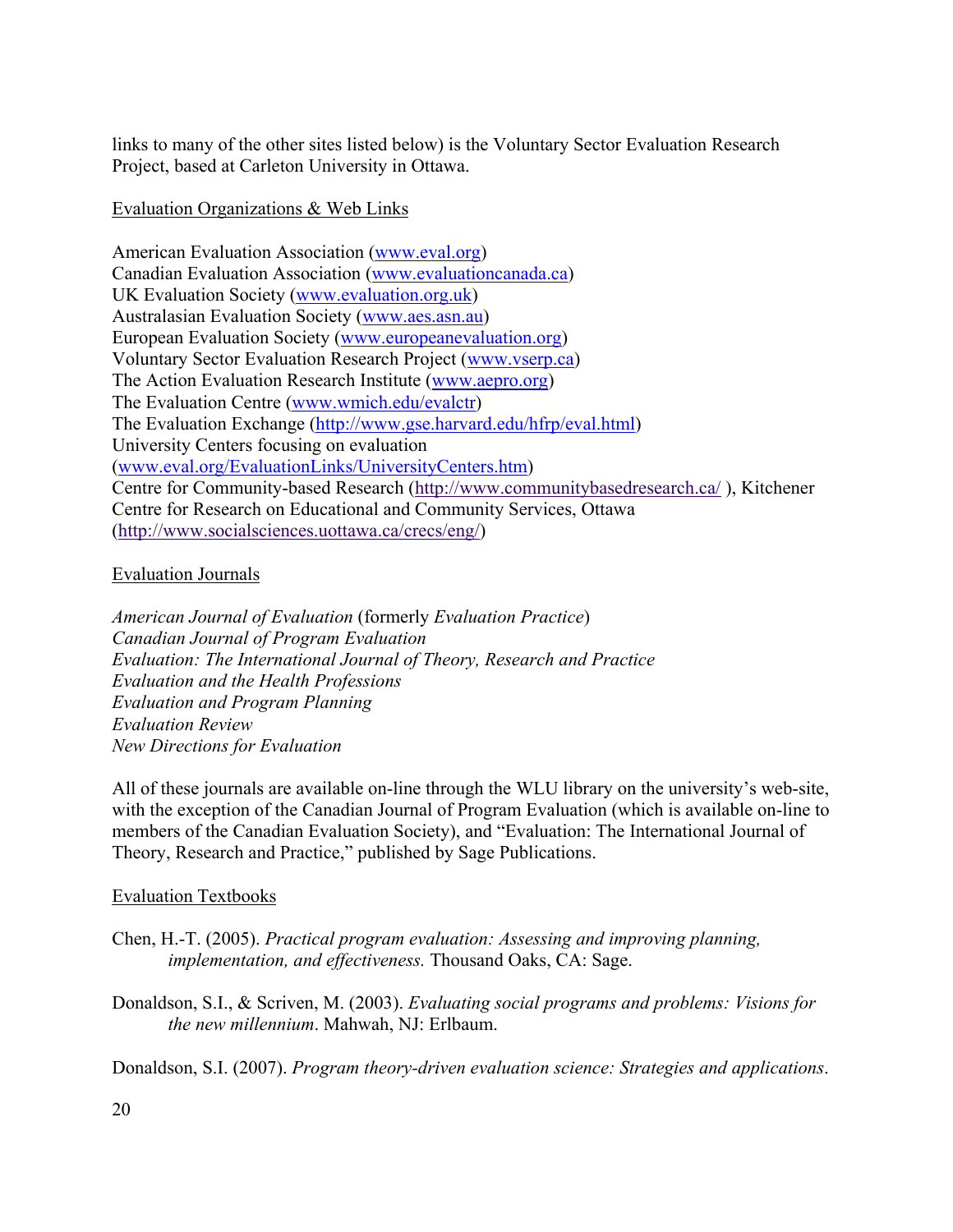links to many of the other sites listed below) is the Voluntary Sector Evaluation Research Project, based at Carleton University in Ottawa.

# Evaluation Organizations & Web Links

American Evaluation Association (www.eval.org) Canadian Evaluation Association (www.evaluationcanada.ca) UK Evaluation Society (www.evaluation.org.uk) Australasian Evaluation Society (www.aes.asn.au) European Evaluation Society (www.europeanevaluation.org) Voluntary Sector Evaluation Research Project (www.vserp.ca) The Action Evaluation Research Institute (www.aepro.org) The Evaluation Centre (www.wmich.edu/evalctr) The Evaluation Exchange (http://www.gse.harvard.edu/hfrp/eval.html) University Centers focusing on evaluation (www.eval.org/EvaluationLinks/UniversityCenters.htm) Centre for Community-based Research (http://www.communitybasedresearch.ca/ ), Kitchener Centre for Research on Educational and Community Services, Ottawa (http://www.socialsciences.uottawa.ca/crecs/eng/)

# Evaluation Journals

*American Journal of Evaluation* (formerly *Evaluation Practice*) *Canadian Journal of Program Evaluation Evaluation: The International Journal of Theory, Research and Practice Evaluation and the Health Professions Evaluation and Program Planning Evaluation Review New Directions for Evaluation* 

All of these journals are available on-line through the WLU library on the university's web-site, with the exception of the Canadian Journal of Program Evaluation (which is available on-line to members of the Canadian Evaluation Society), and "Evaluation: The International Journal of Theory, Research and Practice," published by Sage Publications.

# Evaluation Textbooks

- Chen, H.-T. (2005). *Practical program evaluation: Assessing and improving planning, implementation, and effectiveness.* Thousand Oaks, CA: Sage.
- Donaldson, S.I., & Scriven, M. (2003). *Evaluating social programs and problems: Visions for the new millennium*. Mahwah, NJ: Erlbaum.

Donaldson, S.I. (2007). *Program theory-driven evaluation science: Strategies and applications*.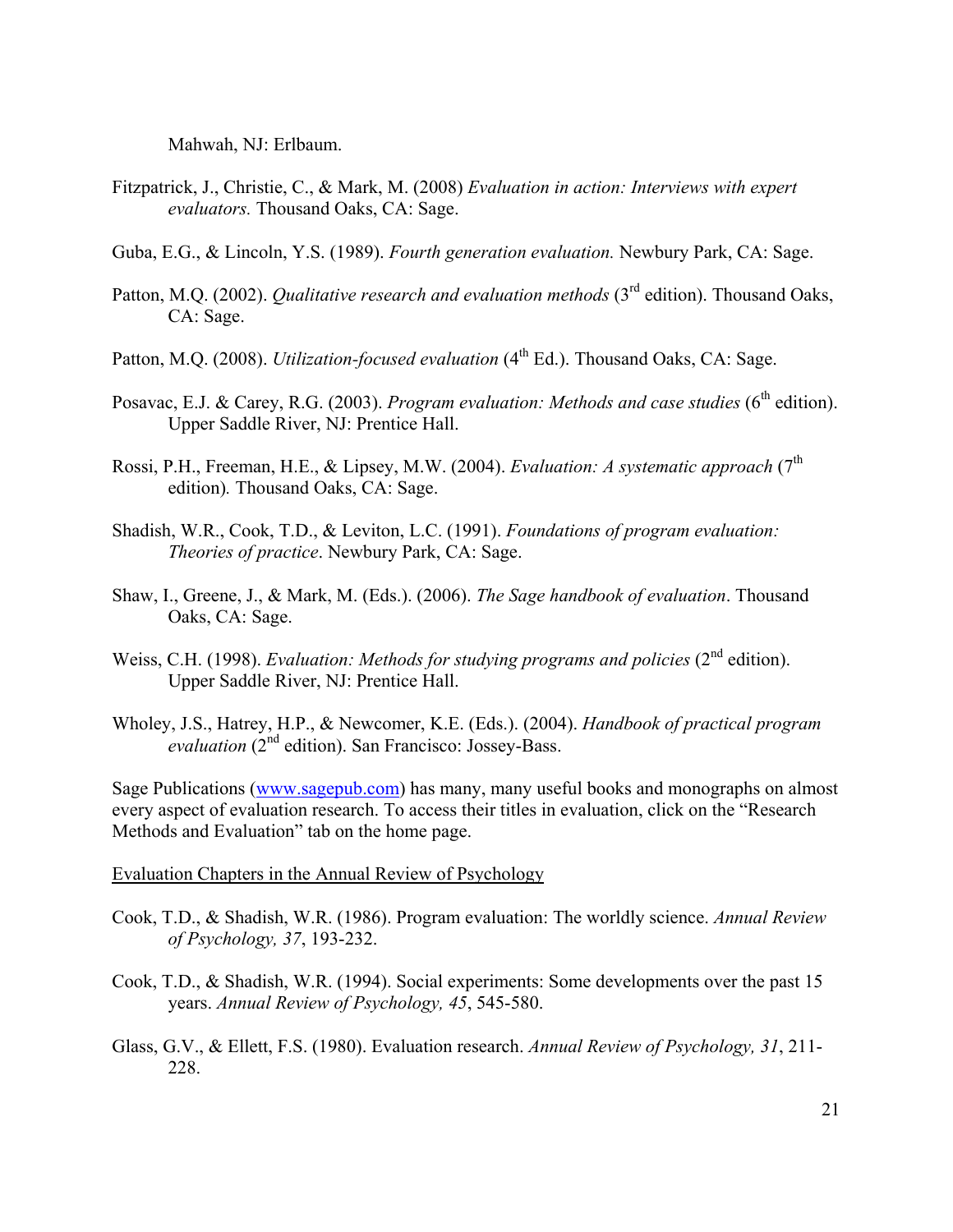Mahwah, NJ: Erlbaum.

- Fitzpatrick, J., Christie, C., & Mark, M. (2008) *Evaluation in action: Interviews with expert evaluators.* Thousand Oaks, CA: Sage.
- Guba, E.G., & Lincoln, Y.S. (1989). *Fourth generation evaluation.* Newbury Park, CA: Sage.
- Patton, M.Q. (2002). *Qualitative research and evaluation methods* (3<sup>rd</sup> edition). Thousand Oaks, CA: Sage.
- Patton, M.Q. (2008). *Utilization-focused evaluation* (4<sup>th</sup> Ed.). Thousand Oaks, CA: Sage.
- Posavac, E.J. & Carey, R.G. (2003). *Program evaluation: Methods and case studies* (6<sup>th</sup> edition). Upper Saddle River, NJ: Prentice Hall.
- Rossi, P.H., Freeman, H.E., & Lipsey, M.W. (2004). *Evaluation: A systematic approach* (7<sup>th</sup>) edition)*.* Thousand Oaks, CA: Sage.
- Shadish, W.R., Cook, T.D., & Leviton, L.C. (1991). *Foundations of program evaluation: Theories of practice*. Newbury Park, CA: Sage.
- Shaw, I., Greene, J., & Mark, M. (Eds.). (2006). *The Sage handbook of evaluation*. Thousand Oaks, CA: Sage.
- Weiss, C.H. (1998). *Evaluation: Methods for studying programs and policies* (2<sup>nd</sup> edition). Upper Saddle River, NJ: Prentice Hall.
- Wholey, J.S., Hatrey, H.P., & Newcomer, K.E. (Eds.). (2004). *Handbook of practical program evaluation* (2nd edition). San Francisco: Jossey-Bass.

Sage Publications (www.sagepub.com) has many, many useful books and monographs on almost every aspect of evaluation research. To access their titles in evaluation, click on the "Research Methods and Evaluation" tab on the home page.

Evaluation Chapters in the Annual Review of Psychology

- Cook, T.D., & Shadish, W.R. (1986). Program evaluation: The worldly science. *Annual Review of Psychology, 37*, 193-232.
- Cook, T.D., & Shadish, W.R. (1994). Social experiments: Some developments over the past 15 years. *Annual Review of Psychology, 45*, 545-580.
- Glass, G.V., & Ellett, F.S. (1980). Evaluation research. *Annual Review of Psychology, 31*, 211- 228.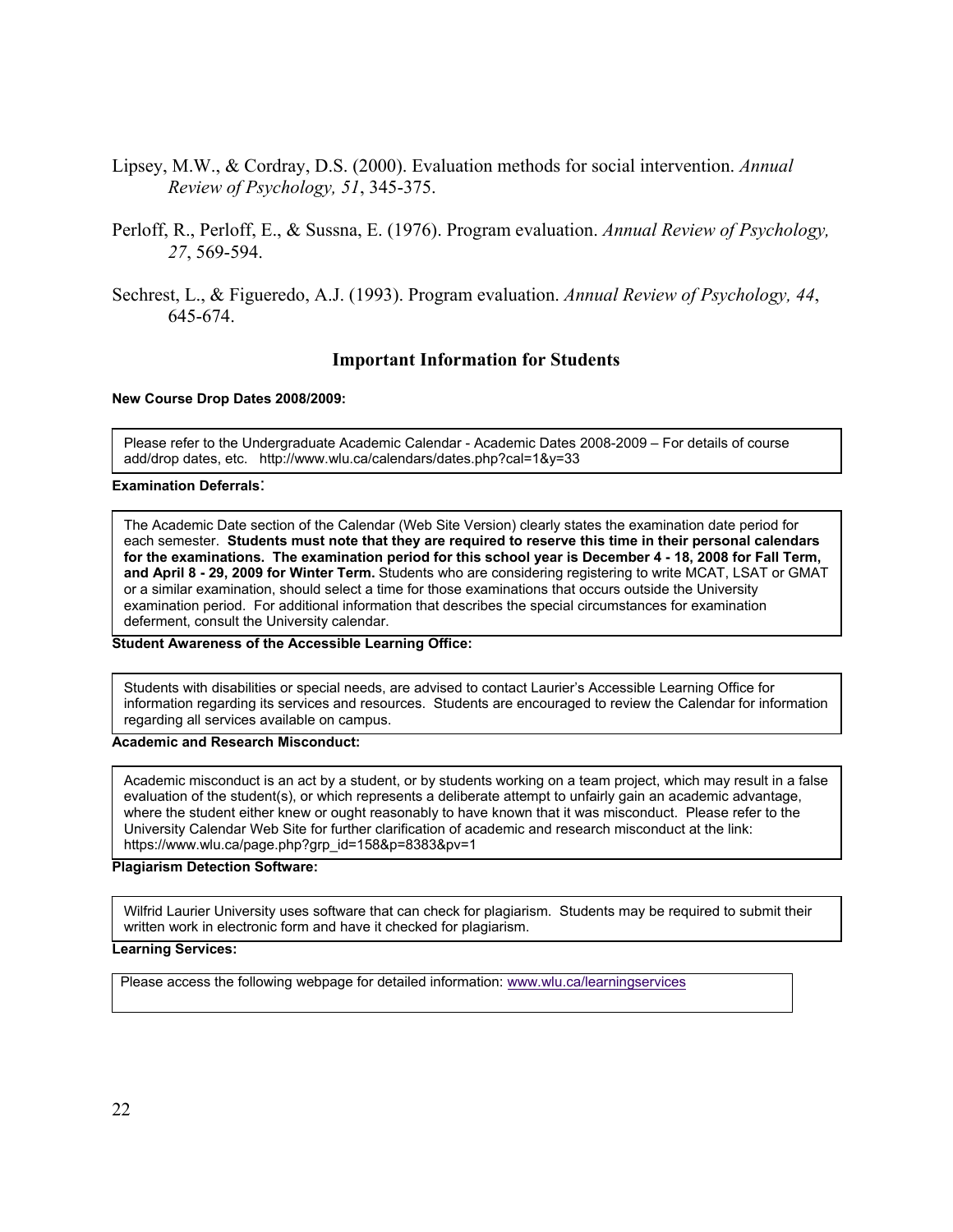- Lipsey, M.W., & Cordray, D.S. (2000). Evaluation methods for social intervention. *Annual Review of Psychology, 51*, 345-375.
- Perloff, R., Perloff, E., & Sussna, E. (1976). Program evaluation. *Annual Review of Psychology, 27*, 569-594.
- Sechrest, L., & Figueredo, A.J. (1993). Program evaluation. *Annual Review of Psychology, 44*, 645-674.

### **Important Information for Students**

#### **New Course Drop Dates 2008/2009:**

Please refer to the Undergraduate Academic Calendar - Academic Dates 2008-2009 – For details of course add/drop dates, etc. http://www.wlu.ca/calendars/dates.php?cal=1&y=33

#### **Examination Deferrals**:

The Academic Date section of the Calendar (Web Site Version) clearly states the examination date period for each semester. **Students must note that they are required to reserve this time in their personal calendars for the examinations. The examination period for this school year is December 4 - 18, 2008 for Fall Term, and April 8 - 29, 2009 for Winter Term.** Students who are considering registering to write MCAT, LSAT or GMAT or a similar examination, should select a time for those examinations that occurs outside the University examination period. For additional information that describes the special circumstances for examination deferment, consult the University calendar.

**Student Awareness of the Accessible Learning Office:** 

Students with disabilities or special needs, are advised to contact Laurier's Accessible Learning Office for information regarding its services and resources. Students are encouraged to review the Calendar for information regarding all services available on campus.

#### **Academic and Research Misconduct:**

Academic misconduct is an act by a student, or by students working on a team project, which may result in a false evaluation of the student(s), or which represents a deliberate attempt to unfairly gain an academic advantage, where the student either knew or ought reasonably to have known that it was misconduct. Please refer to the University Calendar Web Site for further clarification of academic and research misconduct at the link: https://www.wlu.ca/page.php?grp\_id=158&p=8383&pv=1

#### **Plagiarism Detection Software:**

Wilfrid Laurier University uses software that can check for plagiarism. Students may be required to submit their written work in electronic form and have it checked for plagiarism.

#### **Learning Services:**

Please access the following webpage for detailed information: www.wlu.ca/learningservices